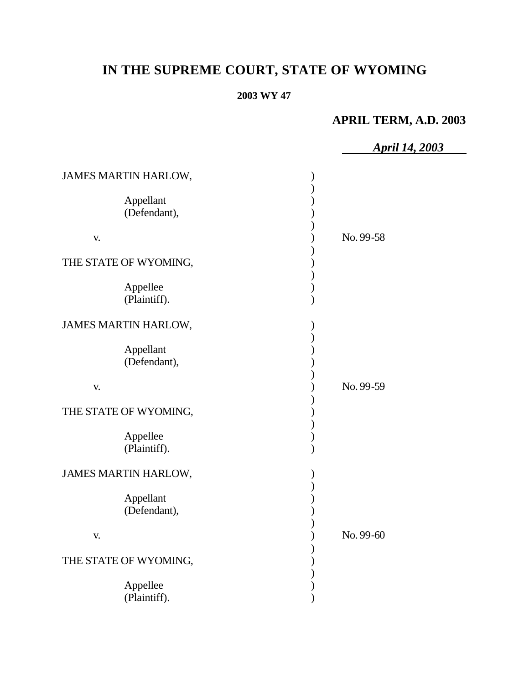# **IN THE SUPREME COURT, STATE OF WYOMING**

# **2003 WY 47**

# **APRIL TERM, A.D. 2003**

|                           | <b>April 14, 2003</b> |
|---------------------------|-----------------------|
| JAMES MARTIN HARLOW,      |                       |
| Appellant<br>(Defendant), |                       |
| V.                        | No. 99-58             |
| THE STATE OF WYOMING,     |                       |
| Appellee<br>(Plaintiff).  |                       |
| JAMES MARTIN HARLOW,      |                       |
| Appellant<br>(Defendant), |                       |
| V.                        | No. 99-59             |
| THE STATE OF WYOMING,     |                       |
| Appellee<br>(Plaintiff).  |                       |
| JAMES MARTIN HARLOW,      |                       |
| Appellant<br>(Defendant), |                       |
| V.                        | No. 99-60             |
| THE STATE OF WYOMING,     |                       |
| Appellee<br>(Plaintiff).  |                       |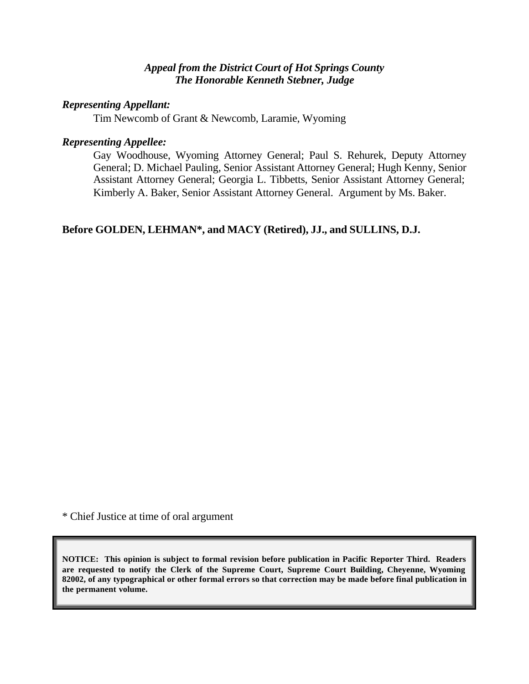## *Appeal from the District Court of Hot Springs County The Honorable Kenneth Stebner, Judge*

## *Representing Appellant:*

Tim Newcomb of Grant & Newcomb, Laramie, Wyoming

## *Representing Appellee:*

Gay Woodhouse, Wyoming Attorney General; Paul S. Rehurek, Deputy Attorney General; D. Michael Pauling, Senior Assistant Attorney General; Hugh Kenny, Senior Assistant Attorney General; Georgia L. Tibbetts, Senior Assistant Attorney General; Kimberly A. Baker, Senior Assistant Attorney General. Argument by Ms. Baker.

# **Before GOLDEN, LEHMAN\*, and MACY (Retired), JJ., and SULLINS, D.J.**

\* Chief Justice at time of oral argument

**NOTICE: This opinion is subject to formal revision before publication in Pacific Reporter Third. Readers are requested to notify the Clerk of the Supreme Court, Supreme Court Building, Cheyenne, Wyoming 82002, of any typographical or other formal errors so that correction may be made before final publication in the permanent volume.**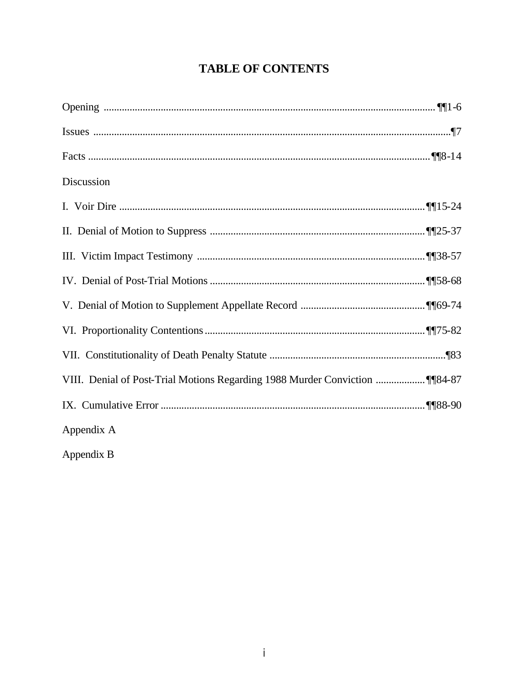# **TABLE OF CONTENTS**

| Discussion |  |
|------------|--|
|            |  |
|            |  |
|            |  |
|            |  |
|            |  |
|            |  |
|            |  |
|            |  |
|            |  |
| Appendix A |  |
| Appendix B |  |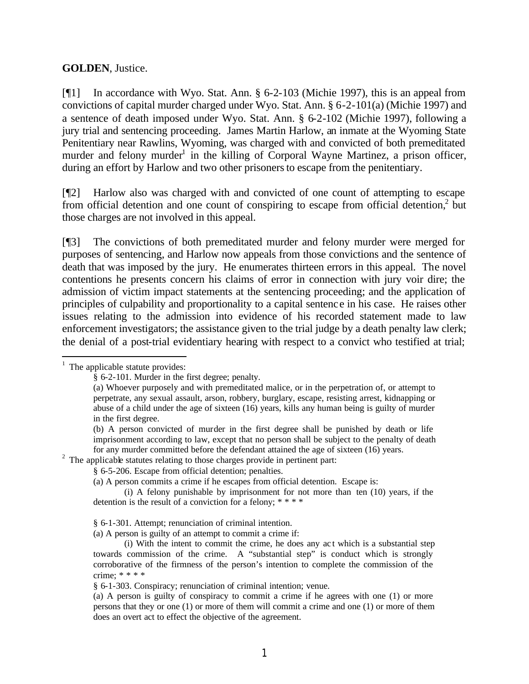## **GOLDEN**, Justice.

[¶1] In accordance with Wyo. Stat. Ann. § 6-2-103 (Michie 1997), this is an appeal from convictions of capital murder charged under Wyo. Stat. Ann. § 6-2-101(a) (Michie 1997) and a sentence of death imposed under Wyo. Stat. Ann. § 6-2-102 (Michie 1997), following a jury trial and sentencing proceeding. James Martin Harlow, an inmate at the Wyoming State Penitentiary near Rawlins, Wyoming, was charged with and convicted of both premeditated murder and felony murder<sup>1</sup> in the killing of Corporal Wayne Martinez, a prison officer, during an effort by Harlow and two other prisoners to escape from the penitentiary.

[¶2] Harlow also was charged with and convicted of one count of attempting to escape from official detention and one count of conspiring to escape from official detention,<sup>2</sup> but those charges are not involved in this appeal.

[¶3] The convictions of both premeditated murder and felony murder were merged for purposes of sentencing, and Harlow now appeals from those convictions and the sentence of death that was imposed by the jury. He enumerates thirteen errors in this appeal. The novel contentions he presents concern his claims of error in connection with jury voir dire; the admission of victim impact statements at the sentencing proceeding; and the application of principles of culpability and proportionality to a capital sentence in his case. He raises other issues relating to the admission into evidence of his recorded statement made to law enforcement investigators; the assistance given to the trial judge by a death penalty law clerk; the denial of a post-trial evidentiary hearing with respect to a convict who testified at trial;

## $<sup>1</sup>$  The applicable statute provides:</sup>

 $2$  The applicable statutes relating to those charges provide in pertinent part:

§ 6-5-206. Escape from official detention; penalties.

(a) A person commits a crime if he escapes from official detention. Escape is:

§ 6-1-301. Attempt; renunciation of criminal intention.

(a) A person is guilty of an attempt to commit a crime if:

§ 6-1-303. Conspiracy; renunciation of criminal intention; venue.

<sup>§ 6-2-101.</sup> Murder in the first degree; penalty.

<sup>(</sup>a) Whoever purposely and with premeditated malice, or in the perpetration of, or attempt to perpetrate, any sexual assault, arson, robbery, burglary, escape, resisting arrest, kidnapping or abuse of a child under the age of sixteen (16) years, kills any human being is guilty of murder in the first degree.

<sup>(</sup>b) A person convicted of murder in the first degree shall be punished by death or life imprisonment according to law, except that no person shall be subject to the penalty of death for any murder committed before the defendant attained the age of sixteen (16) years.

<sup>(</sup>i) A felony punishable by imprisonment for not more than ten (10) years, if the detention is the result of a conviction for a felony; \* \* \* \*

<sup>(</sup>i) With the intent to commit the crime, he does any ac t which is a substantial step towards commission of the crime. A "substantial step" is conduct which is strongly corroborative of the firmness of the person's intention to complete the commission of the crime; \* \* \* \*

<sup>(</sup>a) A person is guilty of conspiracy to commit a crime if he agrees with one (1) or more persons that they or one (1) or more of them will commit a crime and one (1) or more of them does an overt act to effect the objective of the agreement.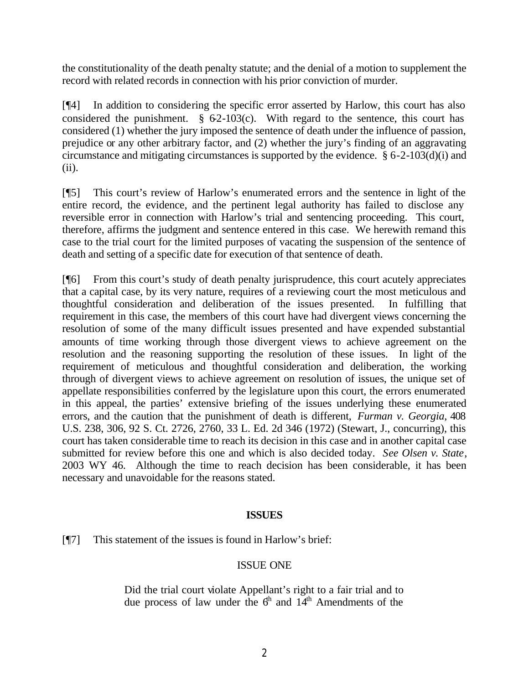the constitutionality of the death penalty statute; and the denial of a motion to supplement the record with related records in connection with his prior conviction of murder.

[¶4] In addition to considering the specific error asserted by Harlow, this court has also considered the punishment.  $\S$  62-103(c). With regard to the sentence, this court has considered (1) whether the jury imposed the sentence of death under the influence of passion, prejudice or any other arbitrary factor, and (2) whether the jury's finding of an aggravating circumstance and mitigating circumstances is supported by the evidence. § 6-2-103(d)(i) and (ii).

[¶5] This court's review of Harlow's enumerated errors and the sentence in light of the entire record, the evidence, and the pertinent legal authority has failed to disclose any reversible error in connection with Harlow's trial and sentencing proceeding. This court, therefore, affirms the judgment and sentence entered in this case. We herewith remand this case to the trial court for the limited purposes of vacating the suspension of the sentence of death and setting of a specific date for execution of that sentence of death.

[¶6] From this court's study of death penalty jurisprudence, this court acutely appreciates that a capital case, by its very nature, requires of a reviewing court the most meticulous and thoughtful consideration and deliberation of the issues presented. In fulfilling that requirement in this case, the members of this court have had divergent views concerning the resolution of some of the many difficult issues presented and have expended substantial amounts of time working through those divergent views to achieve agreement on the resolution and the reasoning supporting the resolution of these issues. In light of the requirement of meticulous and thoughtful consideration and deliberation, the working through of divergent views to achieve agreement on resolution of issues, the unique set of appellate responsibilities conferred by the legislature upon this court, the errors enumerated in this appeal, the parties' extensive briefing of the issues underlying these enumerated errors, and the caution that the punishment of death is different, *Furman v. Georgia*, 408 U.S. 238, 306, 92 S. Ct. 2726, 2760, 33 L. Ed. 2d 346 (1972) (Stewart, J., concurring), this court has taken considerable time to reach its decision in this case and in another capital case submitted for review before this one and which is also decided today. *See Olsen v. State*, 2003 WY 46. Although the time to reach decision has been considerable, it has been necessary and unavoidable for the reasons stated.

## **ISSUES**

[¶7] This statement of the issues is found in Harlow's brief:

## ISSUE ONE

Did the trial court violate Appellant's right to a fair trial and to due process of law under the  $6<sup>th</sup>$  and  $14<sup>th</sup>$  Amendments of the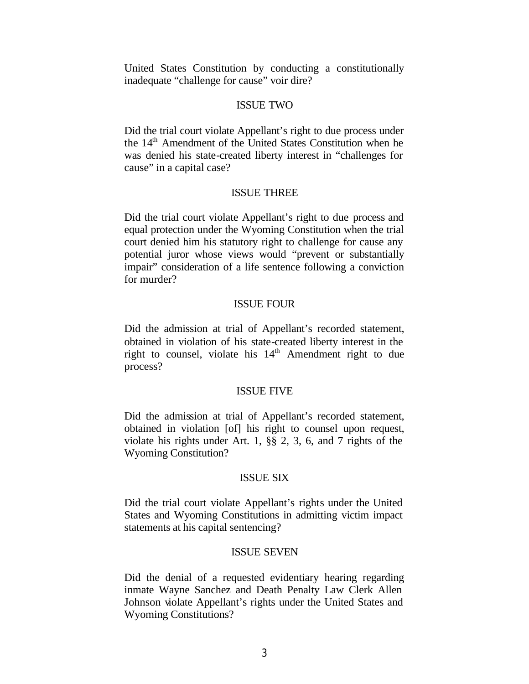United States Constitution by conducting a constitutionally inadequate "challenge for cause" voir dire?

## ISSUE TWO

Did the trial court violate Appellant's right to due process under the 14<sup>th</sup> Amendment of the United States Constitution when he was denied his state-created liberty interest in "challenges for cause" in a capital case?

## ISSUE THREE

Did the trial court violate Appellant's right to due process and equal protection under the Wyoming Constitution when the trial court denied him his statutory right to challenge for cause any potential juror whose views would "prevent or substantially impair" consideration of a life sentence following a conviction for murder?

## ISSUE FOUR

Did the admission at trial of Appellant's recorded statement, obtained in violation of his state-created liberty interest in the right to counsel, violate his  $14<sup>th</sup>$  Amendment right to due process?

#### ISSUE FIVE

Did the admission at trial of Appellant's recorded statement, obtained in violation [of] his right to counsel upon request, violate his rights under Art. 1, §§ 2, 3, 6, and 7 rights of the Wyoming Constitution?

#### ISSUE SIX

Did the trial court violate Appellant's rights under the United States and Wyoming Constitutions in admitting victim impact statements at his capital sentencing?

#### ISSUE SEVEN

Did the denial of a requested evidentiary hearing regarding inmate Wayne Sanchez and Death Penalty Law Clerk Allen Johnson violate Appellant's rights under the United States and Wyoming Constitutions?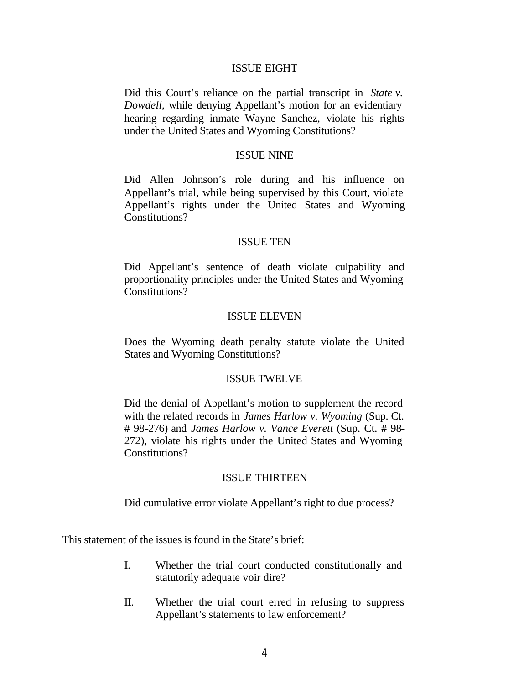#### ISSUE EIGHT

Did this Court's reliance on the partial transcript in *State v. Dowdell*, while denying Appellant's motion for an evidentiary hearing regarding inmate Wayne Sanchez, violate his rights under the United States and Wyoming Constitutions?

#### ISSUE NINE

Did Allen Johnson's role during and his influence on Appellant's trial, while being supervised by this Court, violate Appellant's rights under the United States and Wyoming Constitutions?

#### ISSUE TEN

Did Appellant's sentence of death violate culpability and proportionality principles under the United States and Wyoming Constitutions?

#### ISSUE ELEVEN

Does the Wyoming death penalty statute violate the United States and Wyoming Constitutions?

#### ISSUE TWELVE

Did the denial of Appellant's motion to supplement the record with the related records in *James Harlow v. Wyoming (Sup. Ct.*) # 98-276) and *James Harlow v. Vance Everett* (Sup. Ct. # 98- 272), violate his rights under the United States and Wyoming Constitutions?

#### ISSUE THIRTEEN

Did cumulative error violate Appellant's right to due process?

This statement of the issues is found in the State's brief:

- I. Whether the trial court conducted constitutionally and statutorily adequate voir dire?
- II. Whether the trial court erred in refusing to suppress Appellant's statements to law enforcement?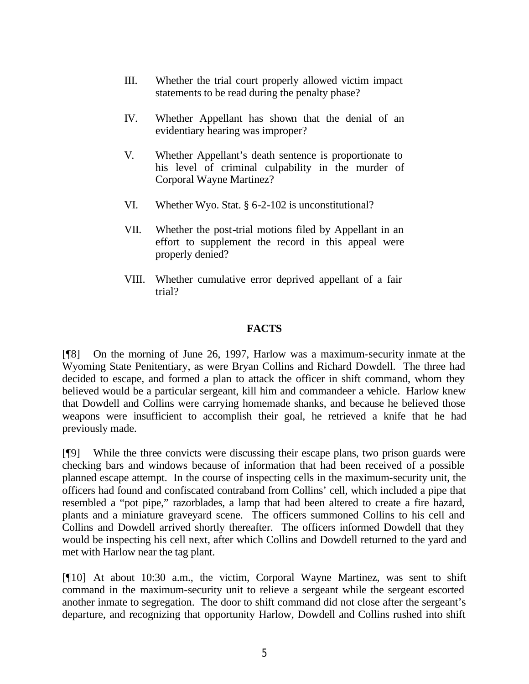- III. Whether the trial court properly allowed victim impact statements to be read during the penalty phase?
- IV. Whether Appellant has shown that the denial of an evidentiary hearing was improper?
- V. Whether Appellant's death sentence is proportionate to his level of criminal culpability in the murder of Corporal Wayne Martinez?
- VI. Whether Wyo. Stat. § 6-2-102 is unconstitutional?
- VII. Whether the post-trial motions filed by Appellant in an effort to supplement the record in this appeal were properly denied?
- VIII. Whether cumulative error deprived appellant of a fair trial?

## **FACTS**

[¶8] On the morning of June 26, 1997, Harlow was a maximum-security inmate at the Wyoming State Penitentiary, as were Bryan Collins and Richard Dowdell. The three had decided to escape, and formed a plan to attack the officer in shift command, whom they believed would be a particular sergeant, kill him and commandeer a vehicle. Harlow knew that Dowdell and Collins were carrying homemade shanks, and because he believed those weapons were insufficient to accomplish their goal, he retrieved a knife that he had previously made.

[¶9] While the three convicts were discussing their escape plans, two prison guards were checking bars and windows because of information that had been received of a possible planned escape attempt. In the course of inspecting cells in the maximum-security unit, the officers had found and confiscated contraband from Collins' cell, which included a pipe that resembled a "pot pipe," razorblades, a lamp that had been altered to create a fire hazard, plants and a miniature graveyard scene. The officers summoned Collins to his cell and Collins and Dowdell arrived shortly thereafter. The officers informed Dowdell that they would be inspecting his cell next, after which Collins and Dowdell returned to the yard and met with Harlow near the tag plant.

[¶10] At about 10:30 a.m., the victim, Corporal Wayne Martinez, was sent to shift command in the maximum-security unit to relieve a sergeant while the sergeant escorted another inmate to segregation. The door to shift command did not close after the sergeant's departure, and recognizing that opportunity Harlow, Dowdell and Collins rushed into shift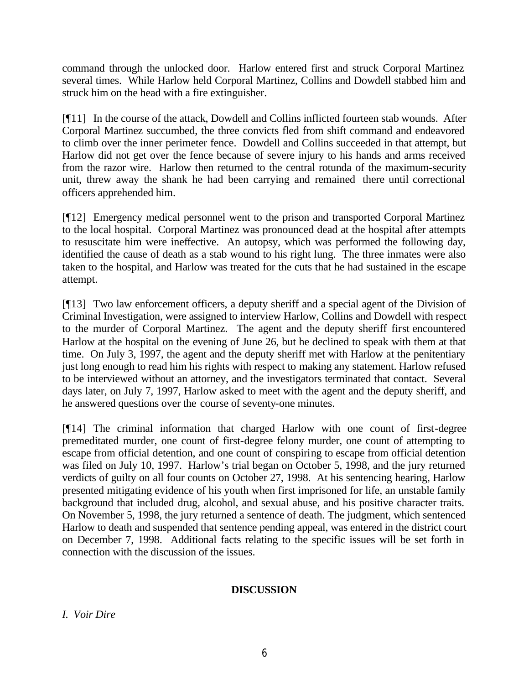command through the unlocked door. Harlow entered first and struck Corporal Martinez several times. While Harlow held Corporal Martinez, Collins and Dowdell stabbed him and struck him on the head with a fire extinguisher.

[¶11] In the course of the attack, Dowdell and Collins inflicted fourteen stab wounds. After Corporal Martinez succumbed, the three convicts fled from shift command and endeavored to climb over the inner perimeter fence. Dowdell and Collins succeeded in that attempt, but Harlow did not get over the fence because of severe injury to his hands and arms received from the razor wire. Harlow then returned to the central rotunda of the maximum-security unit, threw away the shank he had been carrying and remained there until correctional officers apprehended him.

[¶12] Emergency medical personnel went to the prison and transported Corporal Martinez to the local hospital. Corporal Martinez was pronounced dead at the hospital after attempts to resuscitate him were ineffective. An autopsy, which was performed the following day, identified the cause of death as a stab wound to his right lung. The three inmates were also taken to the hospital, and Harlow was treated for the cuts that he had sustained in the escape attempt.

[¶13] Two law enforcement officers, a deputy sheriff and a special agent of the Division of Criminal Investigation, were assigned to interview Harlow, Collins and Dowdell with respect to the murder of Corporal Martinez. The agent and the deputy sheriff first encountered Harlow at the hospital on the evening of June 26, but he declined to speak with them at that time. On July 3, 1997, the agent and the deputy sheriff met with Harlow at the penitentiary just long enough to read him his rights with respect to making any statement. Harlow refused to be interviewed without an attorney, and the investigators terminated that contact. Several days later, on July 7, 1997, Harlow asked to meet with the agent and the deputy sheriff, and he answered questions over the course of seventy-one minutes.

[¶14] The criminal information that charged Harlow with one count of first-degree premeditated murder, one count of first-degree felony murder, one count of attempting to escape from official detention, and one count of conspiring to escape from official detention was filed on July 10, 1997. Harlow's trial began on October 5, 1998, and the jury returned verdicts of guilty on all four counts on October 27, 1998. At his sentencing hearing, Harlow presented mitigating evidence of his youth when first imprisoned for life, an unstable family background that included drug, alcohol, and sexual abuse, and his positive character traits. On November 5, 1998, the jury returned a sentence of death. The judgment, which sentenced Harlow to death and suspended that sentence pending appeal, was entered in the district court on December 7, 1998. Additional facts relating to the specific issues will be set forth in connection with the discussion of the issues.

## **DISCUSSION**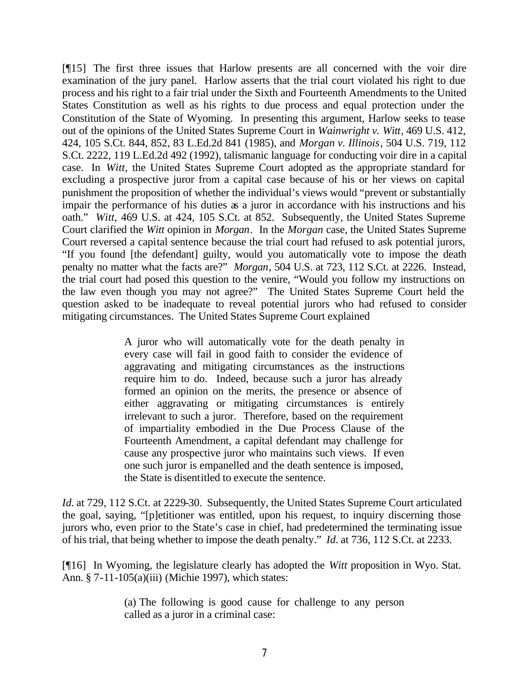[¶15] The first three issues that Harlow presents are all concerned with the voir dire examination of the jury panel. Harlow asserts that the trial court violated his right to due process and his right to a fair trial under the Sixth and Fourteenth Amendments to the United States Constitution as well as his rights to due process and equal protection under the Constitution of the State of Wyoming. In presenting this argument, Harlow seeks to tease out of the opinions of the United States Supreme Court in *Wainwright v. Witt*, 469 U.S. 412, 424, 105 S.Ct. 844, 852, 83 L.Ed.2d 841 (1985), and *Morgan v. Illinois*, 504 U.S. 719, 112 S.Ct. 2222, 119 L.Ed.2d 492 (1992), talismanic language for conducting voir dire in a capital case. In *Witt*, the United States Supreme Court adopted as the appropriate standard for excluding a prospective juror from a capital case because of his or her views on capital punishment the proposition of whether the individual's views would "prevent or substantially impair the performance of his duties as a juror in accordance with his instructions and his oath." *Witt,* 469 U.S. at 424, 105 S.Ct. at 852. Subsequently, the United States Supreme Court clarified the *Witt* opinion in *Morgan*. In the *Morgan* case, the United States Supreme Court reversed a capital sentence because the trial court had refused to ask potential jurors, "If you found [the defendant] guilty, would you automatically vote to impose the death penalty no matter what the facts are?" *Morgan*, 504 U.S. at 723, 112 S.Ct. at 2226. Instead, the trial court had posed this question to the venire, "Would you follow my instructions on the law even though you may not agree?" The United States Supreme Court held the question asked to be inadequate to reveal potential jurors who had refused to consider mitigating circumstances. The United States Supreme Court explained

> A juror who will automatically vote for the death penalty in every case will fail in good faith to consider the evidence of aggravating and mitigating circumstances as the instructions require him to do. Indeed, because such a juror has already formed an opinion on the merits, the presence or absence of either aggravating or mitigating circumstances is entirely irrelevant to such a juror. Therefore, based on the requirement of impartiality embodied in the Due Process Clause of the Fourteenth Amendment, a capital defendant may challenge for cause any prospective juror who maintains such views. If even one such juror is empanelled and the death sentence is imposed, the State is disentitled to execute the sentence.

*Id.* at 729, 112 S.Ct. at 2229-30. Subsequently, the United States Supreme Court articulated the goal, saying, "[p]etitioner was entitled, upon his request, to inquiry discerning those jurors who, even prior to the State's case in chief, had predetermined the terminating issue of his trial, that being whether to impose the death penalty." *Id.* at 736, 112 S.Ct. at 2233.

[¶16] In Wyoming, the legislature clearly has adopted the *Witt* proposition in Wyo. Stat. Ann. § 7-11-105(a)(iii) (Michie 1997), which states:

> (a) The following is good cause for challenge to any person called as a juror in a criminal case: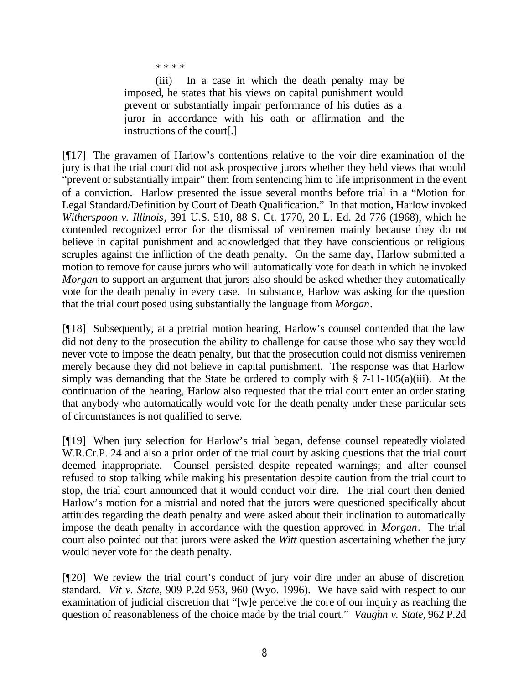\* \* \* \*

(iii) In a case in which the death penalty may be imposed, he states that his views on capital punishment would prevent or substantially impair performance of his duties as a juror in accordance with his oath or affirmation and the instructions of the court[.]

[¶17] The gravamen of Harlow's contentions relative to the voir dire examination of the jury is that the trial court did not ask prospective jurors whether they held views that would "prevent or substantially impair" them from sentencing him to life imprisonment in the event of a conviction. Harlow presented the issue several months before trial in a "Motion for Legal Standard/Definition by Court of Death Qualification." In that motion, Harlow invoked *Witherspoon v. Illinois*, 391 U.S. 510, 88 S. Ct. 1770, 20 L. Ed. 2d 776 (1968), which he contended recognized error for the dismissal of veniremen mainly because they do not believe in capital punishment and acknowledged that they have conscientious or religious scruples against the infliction of the death penalty. On the same day, Harlow submitted a motion to remove for cause jurors who will automatically vote for death in which he invoked *Morgan* to support an argument that jurors also should be asked whether they automatically vote for the death penalty in every case. In substance, Harlow was asking for the question that the trial court posed using substantially the language from *Morgan*.

[¶18] Subsequently, at a pretrial motion hearing, Harlow's counsel contended that the law did not deny to the prosecution the ability to challenge for cause those who say they would never vote to impose the death penalty, but that the prosecution could not dismiss veniremen merely because they did not believe in capital punishment. The response was that Harlow simply was demanding that the State be ordered to comply with  $\S$  7-11-105(a)(iii). At the continuation of the hearing, Harlow also requested that the trial court enter an order stating that anybody who automatically would vote for the death penalty under these particular sets of circumstances is not qualified to serve.

[¶19] When jury selection for Harlow's trial began, defense counsel repeatedly violated W.R.Cr.P. 24 and also a prior order of the trial court by asking questions that the trial court deemed inappropriate. Counsel persisted despite repeated warnings; and after counsel refused to stop talking while making his presentation despite caution from the trial court to stop, the trial court announced that it would conduct voir dire. The trial court then denied Harlow's motion for a mistrial and noted that the jurors were questioned specifically about attitudes regarding the death penalty and were asked about their inclination to automatically impose the death penalty in accordance with the question approved in *Morgan*. The trial court also pointed out that jurors were asked the *Witt* question ascertaining whether the jury would never vote for the death penalty.

[¶20] We review the trial court's conduct of jury voir dire under an abuse of discretion standard. *Vit v. State*, 909 P.2d 953, 960 (Wyo. 1996). We have said with respect to our examination of judicial discretion that "[w]e perceive the core of our inquiry as reaching the question of reasonableness of the choice made by the trial court." *Vaughn v. State*, 962 P.2d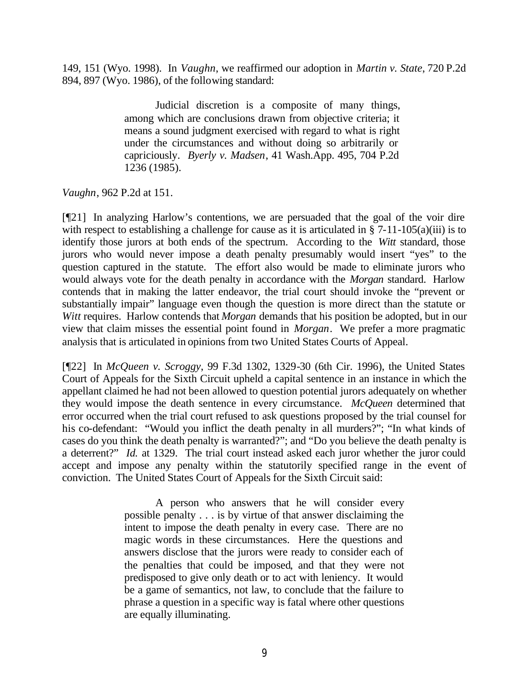149, 151 (Wyo. 1998). In *Vaughn*, we reaffirmed our adoption in *Martin v. State*, 720 P.2d 894, 897 (Wyo. 1986), of the following standard:

> Judicial discretion is a composite of many things, among which are conclusions drawn from objective criteria; it means a sound judgment exercised with regard to what is right under the circumstances and without doing so arbitrarily or capriciously. *Byerly v. Madsen*, 41 Wash.App. 495, 704 P.2d 1236 (1985).

*Vaughn*, 962 P.2d at 151.

[¶21] In analyzing Harlow's contentions, we are persuaded that the goal of the voir dire with respect to establishing a challenge for cause as it is articulated in § 7-11-105(a)(iii) is to identify those jurors at both ends of the spectrum. According to the *Witt* standard, those jurors who would never impose a death penalty presumably would insert "yes" to the question captured in the statute. The effort also would be made to eliminate jurors who would always vote for the death penalty in accordance with the *Morgan* standard. Harlow contends that in making the latter endeavor, the trial court should invoke the "prevent or substantially impair" language even though the question is more direct than the statute or *Witt* requires. Harlow contends that *Morgan* demands that his position be adopted, but in our view that claim misses the essential point found in *Morgan*. We prefer a more pragmatic analysis that is articulated in opinions from two United States Courts of Appeal.

[¶22] In *McQueen v. Scroggy*, 99 F.3d 1302, 1329-30 (6th Cir. 1996), the United States Court of Appeals for the Sixth Circuit upheld a capital sentence in an instance in which the appellant claimed he had not been allowed to question potential jurors adequately on whether they would impose the death sentence in every circumstance. *McQueen* determined that error occurred when the trial court refused to ask questions proposed by the trial counsel for his co-defendant: "Would you inflict the death penalty in all murders?"; "In what kinds of cases do you think the death penalty is warranted?"; and "Do you believe the death penalty is a deterrent?" *Id.* at 1329. The trial court instead asked each juror whether the juror could accept and impose any penalty within the statutorily specified range in the event of conviction. The United States Court of Appeals for the Sixth Circuit said:

> A person who answers that he will consider every possible penalty . . . is by virtue of that answer disclaiming the intent to impose the death penalty in every case. There are no magic words in these circumstances. Here the questions and answers disclose that the jurors were ready to consider each of the penalties that could be imposed, and that they were not predisposed to give only death or to act with leniency. It would be a game of semantics, not law, to conclude that the failure to phrase a question in a specific way is fatal where other questions are equally illuminating.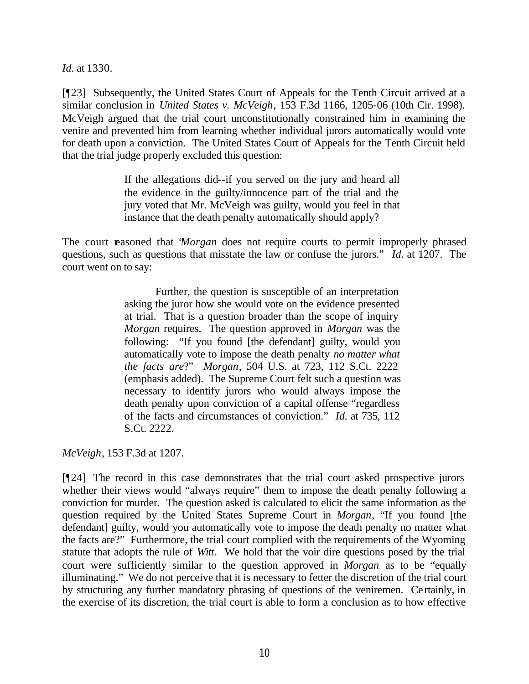*Id.* at 1330.

[¶23] Subsequently, the United States Court of Appeals for the Tenth Circuit arrived at a similar conclusion in *United States v. McVeigh*, 153 F.3d 1166, 1205-06 (10th Cir. 1998). McVeigh argued that the trial court unconstitutionally constrained him in examining the venire and prevented him from learning whether individual jurors automatically would vote for death upon a conviction. The United States Court of Appeals for the Tenth Circuit held that the trial judge properly excluded this question:

> If the allegations did--if you served on the jury and heard all the evidence in the guilty/innocence part of the trial and the jury voted that Mr. McVeigh was guilty, would you feel in that instance that the death penalty automatically should apply?

The court reasoned that "*Morgan* does not require courts to permit improperly phrased questions, such as questions that misstate the law or confuse the jurors." *Id.* at 1207. The court went on to say:

> Further, the question is susceptible of an interpretation asking the juror how she would vote on the evidence presented at trial. That is a question broader than the scope of inquiry *Morgan* requires. The question approved in *Morgan* was the following: "If you found [the defendant] guilty, would you automatically vote to impose the death penalty *no matter what the facts are*?" *Morgan*, 504 U.S. at 723, 112 S.Ct. 2222 (emphasis added). The Supreme Court felt such a question was necessary to identify jurors who would always impose the death penalty upon conviction of a capital offense "regardless of the facts and circumstances of conviction." *Id.* at 735, 112 S.Ct. 2222.

*McVeigh*, 153 F.3d at 1207.

[¶24] The record in this case demonstrates that the trial court asked prospective jurors whether their views would "always require" them to impose the death penalty following a conviction for murder. The question asked is calculated to elicit the same information as the question required by the United States Supreme Court in *Morgan*, "If you found [the defendant] guilty, would you automatically vote to impose the death penalty no matter what the facts are?" Furthermore, the trial court complied with the requirements of the Wyoming statute that adopts the rule of *Witt*. We hold that the voir dire questions posed by the trial court were sufficiently similar to the question approved in *Morgan* as to be "equally illuminating." We do not perceive that it is necessary to fetter the discretion of the trial court by structuring any further mandatory phrasing of questions of the veniremen. Certainly, in the exercise of its discretion, the trial court is able to form a conclusion as to how effective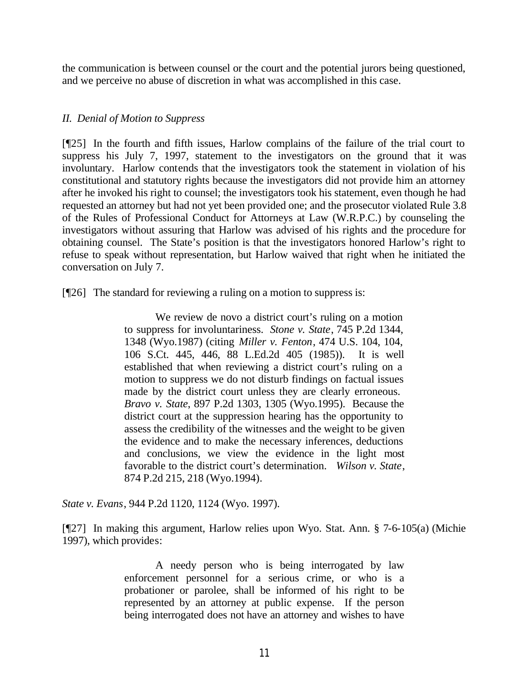the communication is between counsel or the court and the potential jurors being questioned, and we perceive no abuse of discretion in what was accomplished in this case.

## *II. Denial of Motion to Suppress*

[¶25] In the fourth and fifth issues, Harlow complains of the failure of the trial court to suppress his July 7, 1997, statement to the investigators on the ground that it was involuntary. Harlow contends that the investigators took the statement in violation of his constitutional and statutory rights because the investigators did not provide him an attorney after he invoked his right to counsel; the investigators took his statement, even though he had requested an attorney but had not yet been provided one; and the prosecutor violated Rule 3.8 of the Rules of Professional Conduct for Attorneys at Law (W.R.P.C.) by counseling the investigators without assuring that Harlow was advised of his rights and the procedure for obtaining counsel. The State's position is that the investigators honored Harlow's right to refuse to speak without representation, but Harlow waived that right when he initiated the conversation on July 7.

[¶26] The standard for reviewing a ruling on a motion to suppress is:

We review de novo a district court's ruling on a motion to suppress for involuntariness. *Stone v. State*, 745 P.2d 1344, 1348 (Wyo.1987) (citing *Miller v. Fenton*, 474 U.S. 104, 104, 106 S.Ct. 445, 446, 88 L.Ed.2d 405 (1985)). It is well established that when reviewing a district court's ruling on a motion to suppress we do not disturb findings on factual issues made by the district court unless they are clearly erroneous. *Bravo v. State*, 897 P.2d 1303, 1305 (Wyo.1995). Because the district court at the suppression hearing has the opportunity to assess the credibility of the witnesses and the weight to be given the evidence and to make the necessary inferences, deductions and conclusions, we view the evidence in the light most favorable to the district court's determination. *Wilson v. State*, 874 P.2d 215, 218 (Wyo.1994).

*State v. Evans*, 944 P.2d 1120, 1124 (Wyo. 1997).

[¶27] In making this argument, Harlow relies upon Wyo. Stat. Ann. § 7-6-105(a) (Michie 1997), which provides:

> A needy person who is being interrogated by law enforcement personnel for a serious crime, or who is a probationer or parolee, shall be informed of his right to be represented by an attorney at public expense. If the person being interrogated does not have an attorney and wishes to have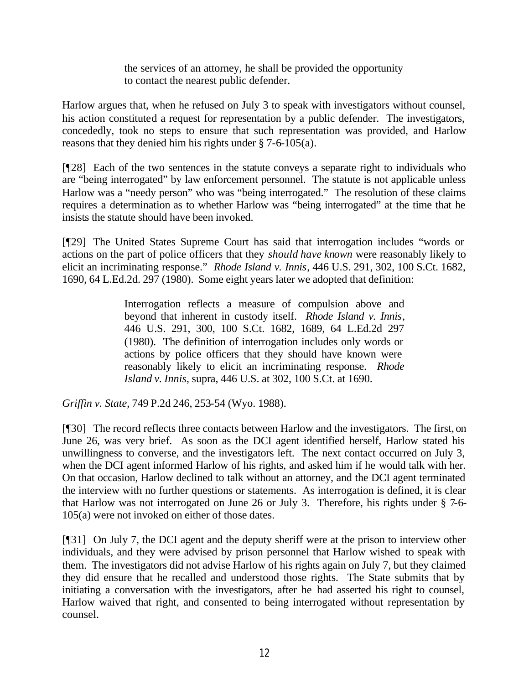the services of an attorney, he shall be provided the opportunity to contact the nearest public defender.

Harlow argues that, when he refused on July 3 to speak with investigators without counsel, his action constituted a request for representation by a public defender. The investigators, concededly, took no steps to ensure that such representation was provided, and Harlow reasons that they denied him his rights under § 7-6-105(a).

[¶28] Each of the two sentences in the statute conveys a separate right to individuals who are "being interrogated" by law enforcement personnel. The statute is not applicable unless Harlow was a "needy person" who was "being interrogated." The resolution of these claims requires a determination as to whether Harlow was "being interrogated" at the time that he insists the statute should have been invoked.

[¶29] The United States Supreme Court has said that interrogation includes "words or actions on the part of police officers that they *should have known* were reasonably likely to elicit an incriminating response." *Rhode Island v. Innis*, 446 U.S. 291, 302, 100 S.Ct. 1682, 1690, 64 L.Ed.2d. 297 (1980). Some eight years later we adopted that definition:

> Interrogation reflects a measure of compulsion above and beyond that inherent in custody itself. *Rhode Island v. Innis*, 446 U.S. 291, 300, 100 S.Ct. 1682, 1689, 64 L.Ed.2d 297 (1980). The definition of interrogation includes only words or actions by police officers that they should have known were reasonably likely to elicit an incriminating response. *Rhode Island v. Innis*, supra, 446 U.S. at 302, 100 S.Ct. at 1690.

*Griffin v. State*, 749 P.2d 246, 253-54 (Wyo. 1988).

[¶30] The record reflects three contacts between Harlow and the investigators. The first, on June 26, was very brief. As soon as the DCI agent identified herself, Harlow stated his unwillingness to converse, and the investigators left. The next contact occurred on July 3, when the DCI agent informed Harlow of his rights, and asked him if he would talk with her. On that occasion, Harlow declined to talk without an attorney, and the DCI agent terminated the interview with no further questions or statements. As interrogation is defined, it is clear that Harlow was not interrogated on June 26 or July 3. Therefore, his rights under § 7-6- 105(a) were not invoked on either of those dates.

[¶31] On July 7, the DCI agent and the deputy sheriff were at the prison to interview other individuals, and they were advised by prison personnel that Harlow wished to speak with them. The investigators did not advise Harlow of his rights again on July 7, but they claimed they did ensure that he recalled and understood those rights. The State submits that by initiating a conversation with the investigators, after he had asserted his right to counsel, Harlow waived that right, and consented to being interrogated without representation by counsel.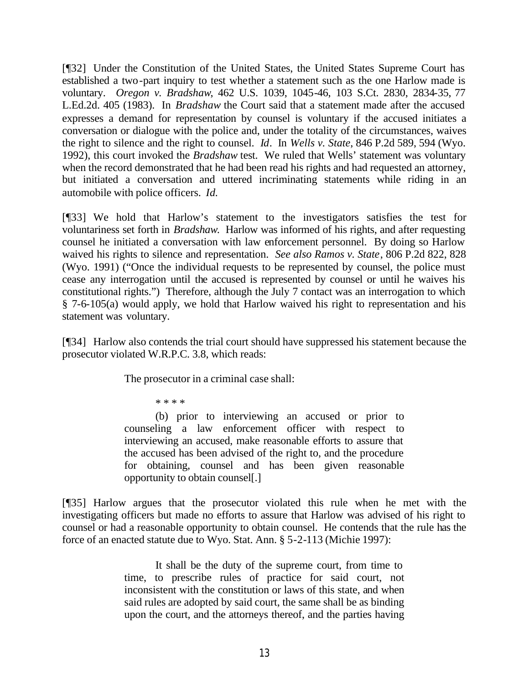[¶32] Under the Constitution of the United States, the United States Supreme Court has established a two-part inquiry to test whether a statement such as the one Harlow made is voluntary. *Oregon v. Bradshaw*, 462 U.S. 1039, 1045-46, 103 S.Ct. 2830, 2834-35, 77 L.Ed.2d. 405 (1983). In *Bradshaw* the Court said that a statement made after the accused expresses a demand for representation by counsel is voluntary if the accused initiates a conversation or dialogue with the police and, under the totality of the circumstances, waives the right to silence and the right to counsel. *Id*. In *Wells v. State*, 846 P.2d 589, 594 (Wyo. 1992), this court invoked the *Bradshaw* test. We ruled that Wells' statement was voluntary when the record demonstrated that he had been read his rights and had requested an attorney, but initiated a conversation and uttered incriminating statements while riding in an automobile with police officers. *Id.*

[¶33] We hold that Harlow's statement to the investigators satisfies the test for voluntariness set forth in *Bradshaw*. Harlow was informed of his rights, and after requesting counsel he initiated a conversation with law enforcement personnel. By doing so Harlow waived his rights to silence and representation. *See also Ramos v. State*, 806 P.2d 822, 828 (Wyo. 1991) ("Once the individual requests to be represented by counsel, the police must cease any interrogation until the accused is represented by counsel or until he waives his constitutional rights.") Therefore, although the July 7 contact was an interrogation to which § 7-6-105(a) would apply, we hold that Harlow waived his right to representation and his statement was voluntary.

[¶34] Harlow also contends the trial court should have suppressed his statement because the prosecutor violated W.R.P.C. 3.8, which reads:

The prosecutor in a criminal case shall:

\* \* \* \*

(b) prior to interviewing an accused or prior to counseling a law enforcement officer with respect to interviewing an accused, make reasonable efforts to assure that the accused has been advised of the right to, and the procedure for obtaining, counsel and has been given reasonable opportunity to obtain counsel[.]

[¶35] Harlow argues that the prosecutor violated this rule when he met with the investigating officers but made no efforts to assure that Harlow was advised of his right to counsel or had a reasonable opportunity to obtain counsel. He contends that the rule has the force of an enacted statute due to Wyo. Stat. Ann. § 5-2-113 (Michie 1997):

> It shall be the duty of the supreme court, from time to time, to prescribe rules of practice for said court, not inconsistent with the constitution or laws of this state, and when said rules are adopted by said court, the same shall be as binding upon the court, and the attorneys thereof, and the parties having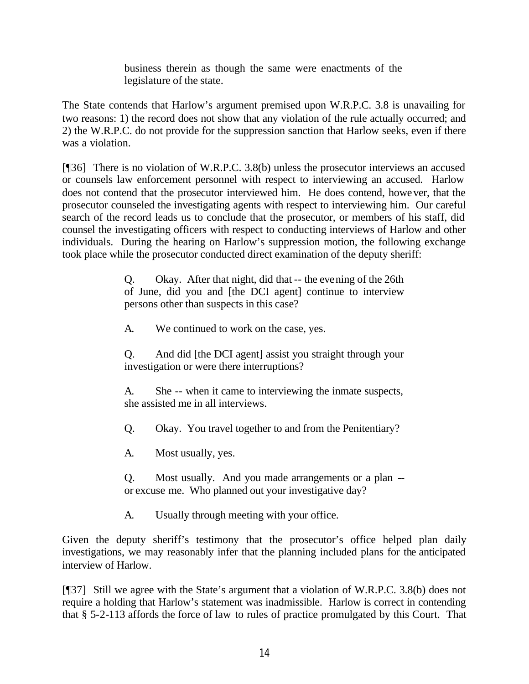business therein as though the same were enactments of the legislature of the state.

The State contends that Harlow's argument premised upon W.R.P.C. 3.8 is unavailing for two reasons: 1) the record does not show that any violation of the rule actually occurred; and 2) the W.R.P.C. do not provide for the suppression sanction that Harlow seeks, even if there was a violation.

[¶36] There is no violation of W.R.P.C. 3.8(b) unless the prosecutor interviews an accused or counsels law enforcement personnel with respect to interviewing an accused. Harlow does not contend that the prosecutor interviewed him. He does contend, however, that the prosecutor counseled the investigating agents with respect to interviewing him. Our careful search of the record leads us to conclude that the prosecutor, or members of his staff, did counsel the investigating officers with respect to conducting interviews of Harlow and other individuals. During the hearing on Harlow's suppression motion, the following exchange took place while the prosecutor conducted direct examination of the deputy sheriff:

> Q. Okay. After that night, did that -- the evening of the 26th of June, did you and [the DCI agent] continue to interview persons other than suspects in this case?

A. We continued to work on the case, yes.

Q. And did [the DCI agent] assist you straight through your investigation or were there interruptions?

A. She -- when it came to interviewing the inmate suspects, she assisted me in all interviews.

Q. Okay. You travel together to and from the Penitentiary?

A. Most usually, yes.

Q. Most usually. And you made arrangements or a plan - or excuse me. Who planned out your investigative day?

A. Usually through meeting with your office.

Given the deputy sheriff's testimony that the prosecutor's office helped plan daily investigations, we may reasonably infer that the planning included plans for the anticipated interview of Harlow.

[¶37] Still we agree with the State's argument that a violation of W.R.P.C. 3.8(b) does not require a holding that Harlow's statement was inadmissible. Harlow is correct in contending that § 5-2-113 affords the force of law to rules of practice promulgated by this Court. That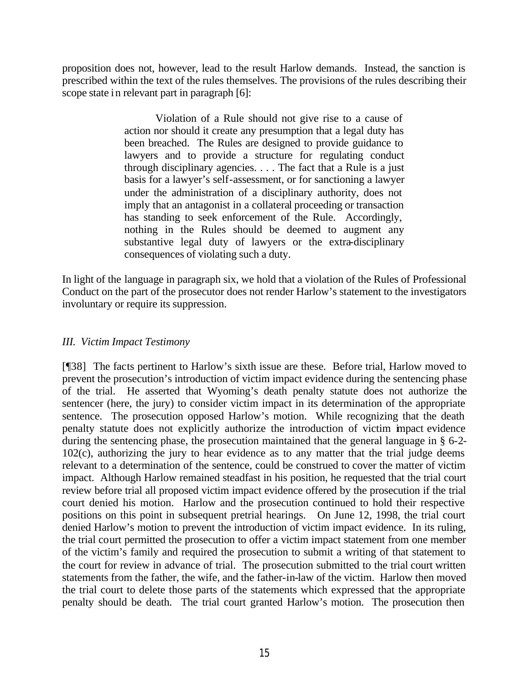proposition does not, however, lead to the result Harlow demands. Instead, the sanction is prescribed within the text of the rules themselves. The provisions of the rules describing their scope state in relevant part in paragraph [6]:

> Violation of a Rule should not give rise to a cause of action nor should it create any presumption that a legal duty has been breached. The Rules are designed to provide guidance to lawyers and to provide a structure for regulating conduct through disciplinary agencies. . . . The fact that a Rule is a just basis for a lawyer's self-assessment, or for sanctioning a lawyer under the administration of a disciplinary authority, does not imply that an antagonist in a collateral proceeding or transaction has standing to seek enforcement of the Rule. Accordingly, nothing in the Rules should be deemed to augment any substantive legal duty of lawyers or the extra-disciplinary consequences of violating such a duty.

In light of the language in paragraph six, we hold that a violation of the Rules of Professional Conduct on the part of the prosecutor does not render Harlow's statement to the investigators involuntary or require its suppression.

## *III. Victim Impact Testimony*

[¶38] The facts pertinent to Harlow's sixth issue are these. Before trial, Harlow moved to prevent the prosecution's introduction of victim impact evidence during the sentencing phase of the trial. He asserted that Wyoming's death penalty statute does not authorize the sentencer (here, the jury) to consider victim impact in its determination of the appropriate sentence. The prosecution opposed Harlow's motion. While recognizing that the death penalty statute does not explicitly authorize the introduction of victim impact evidence during the sentencing phase, the prosecution maintained that the general language in § 6-2- 102(c), authorizing the jury to hear evidence as to any matter that the trial judge deems relevant to a determination of the sentence, could be construed to cover the matter of victim impact. Although Harlow remained steadfast in his position, he requested that the trial court review before trial all proposed victim impact evidence offered by the prosecution if the trial court denied his motion. Harlow and the prosecution continued to hold their respective positions on this point in subsequent pretrial hearings. On June 12, 1998, the trial court denied Harlow's motion to prevent the introduction of victim impact evidence. In its ruling, the trial court permitted the prosecution to offer a victim impact statement from one member of the victim's family and required the prosecution to submit a writing of that statement to the court for review in advance of trial. The prosecution submitted to the trial court written statements from the father, the wife, and the father-in-law of the victim. Harlow then moved the trial court to delete those parts of the statements which expressed that the appropriate penalty should be death. The trial court granted Harlow's motion. The prosecution then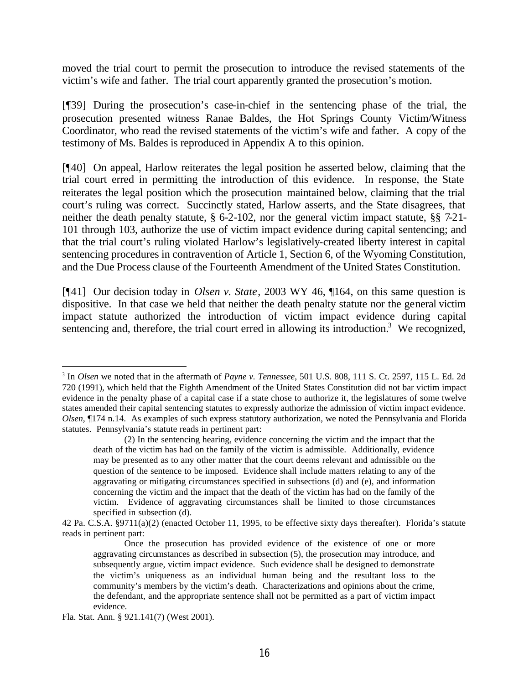moved the trial court to permit the prosecution to introduce the revised statements of the victim's wife and father. The trial court apparently granted the prosecution's motion.

[¶39] During the prosecution's case-in-chief in the sentencing phase of the trial, the prosecution presented witness Ranae Baldes, the Hot Springs County Victim/Witness Coordinator, who read the revised statements of the victim's wife and father. A copy of the testimony of Ms. Baldes is reproduced in Appendix A to this opinion.

[¶40] On appeal, Harlow reiterates the legal position he asserted below, claiming that the trial court erred in permitting the introduction of this evidence. In response, the State reiterates the legal position which the prosecution maintained below, claiming that the trial court's ruling was correct. Succinctly stated, Harlow asserts, and the State disagrees, that neither the death penalty statute, § 6-2-102, nor the general victim impact statute, §§ 7-21- 101 through 103, authorize the use of victim impact evidence during capital sentencing; and that the trial court's ruling violated Harlow's legislatively-created liberty interest in capital sentencing procedures in contravention of Article 1, Section 6, of the Wyoming Constitution, and the Due Process clause of the Fourteenth Amendment of the United States Constitution.

[¶41] Our decision today in *Olsen v. State*, 2003 WY 46, ¶164, on this same question is dispositive. In that case we held that neither the death penalty statute nor the general victim impact statute authorized the introduction of victim impact evidence during capital sentencing and, therefore, the trial court erred in allowing its introduction.<sup>3</sup> We recognized,

<sup>3</sup> In *Olsen* we noted that in the aftermath of *Payne v. Tennessee*, 501 U.S. 808, 111 S. Ct. 2597, 115 L. Ed. 2d 720 (1991), which held that the Eighth Amendment of the United States Constitution did not bar victim impact evidence in the penalty phase of a capital case if a state chose to authorize it, the legislatures of some twelve states amended their capital sentencing statutes to expressly authorize the admission of victim impact evidence. *Olsen*, ¶174 n.14. As examples of such express statutory authorization, we noted the Pennsylvania and Florida statutes. Pennsylvania's statute reads in pertinent part:

<sup>(2)</sup> In the sentencing hearing, evidence concerning the victim and the impact that the death of the victim has had on the family of the victim is admissible. Additionally, evidence may be presented as to any other matter that the court deems relevant and admissible on the question of the sentence to be imposed. Evidence shall include matters relating to any of the aggravating or mitigating circumstances specified in subsections (d) and (e), and information concerning the victim and the impact that the death of the victim has had on the family of the victim. Evidence of aggravating circumstances shall be limited to those circumstances specified in subsection (d).

<sup>42</sup> Pa. C.S.A. §9711(a)(2) (enacted October 11, 1995, to be effective sixty days thereafter). Florida's statute reads in pertinent part:

Once the prosecution has provided evidence of the existence of one or more aggravating circumstances as described in subsection (5), the prosecution may introduce, and subsequently argue, victim impact evidence. Such evidence shall be designed to demonstrate the victim's uniqueness as an individual human being and the resultant loss to the community's members by the victim's death. Characterizations and opinions about the crime, the defendant, and the appropriate sentence shall not be permitted as a part of victim impact evidence.

Fla. Stat. Ann. § 921.141(7) (West 2001).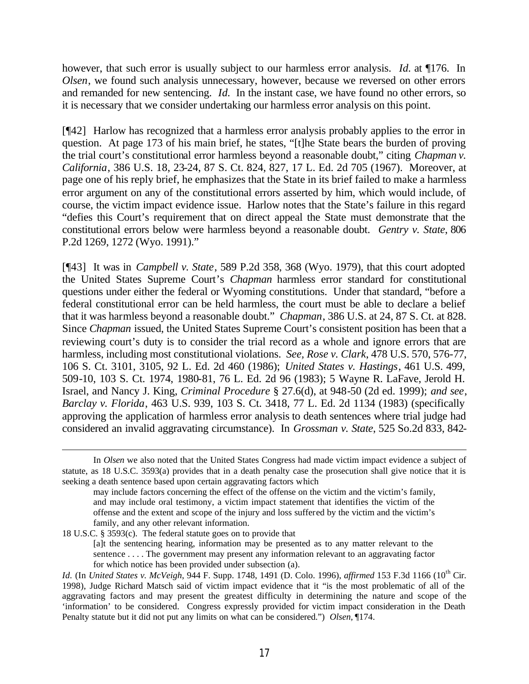however, that such error is usually subject to our harmless error analysis. *Id.* at ¶176. In *Olsen*, we found such analysis unnecessary, however, because we reversed on other errors and remanded for new sentencing. *Id.* In the instant case, we have found no other errors, so it is necessary that we consider undertaking our harmless error analysis on this point.

[¶42] Harlow has recognized that a harmless error analysis probably applies to the error in question. At page 173 of his main brief, he states, "[t]he State bears the burden of proving the trial court's constitutional error harmless beyond a reasonable doubt," citing *Chapman v. California*, 386 U.S. 18, 23-24, 87 S. Ct. 824, 827, 17 L. Ed. 2d 705 (1967). Moreover, at page one of his reply brief, he emphasizes that the State in its brief failed to make a harmless error argument on any of the constitutional errors asserted by him, which would include, of course, the victim impact evidence issue. Harlow notes that the State's failure in this regard "defies this Court's requirement that on direct appeal the State must demonstrate that the constitutional errors below were harmless beyond a reasonable doubt. *Gentry v. State*, 806 P.2d 1269, 1272 (Wyo. 1991)."

[¶43] It was in *Campbell v. State*, 589 P.2d 358, 368 (Wyo. 1979), that this court adopted the United States Supreme Court's *Chapman* harmless error standard for constitutional questions under either the federal or Wyoming constitutions. Under that standard, "before a federal constitutional error can be held harmless, the court must be able to declare a belief that it was harmless beyond a reasonable doubt." *Chapman*, 386 U.S. at 24, 87 S. Ct. at 828. Since *Chapman* issued, the United States Supreme Court's consistent position has been that a reviewing court's duty is to consider the trial record as a whole and ignore errors that are harmless, including most constitutional violations. *See, Rose v. Clark*, 478 U.S. 570, 576-77, 106 S. Ct. 3101, 3105, 92 L. Ed. 2d 460 (1986); *United States v. Hastings*, 461 U.S. 499, 509-10, 103 S. Ct. 1974, 1980-81, 76 L. Ed. 2d 96 (1983); 5 Wayne R. LaFave, Jerold H. Israel, and Nancy J. King, *Criminal Procedure* § 27.6(d), at 948-50 (2d ed. 1999); *and see*, *Barclay v. Florida*, 463 U.S. 939, 103 S. Ct. 3418, 77 L. Ed. 2d 1134 (1983) (specifically approving the application of harmless error analysis to death sentences where trial judge had considered an invalid aggravating circumstance). In *Grossman v. State*, 525 So.2d 833, 842-

18 U.S.C. § 3593(c). The federal statute goes on to provide that [a]t the sentencing hearing, information may be presented as to any matter relevant to the sentence . . . . The government may present any information relevant to an aggravating factor for which notice has been provided under subsection (a).

In *Olsen* we also noted that the United States Congress had made victim impact evidence a subject of statute, as 18 U.S.C. 3593(a) provides that in a death penalty case the prosecution shall give notice that it is seeking a death sentence based upon certain aggravating factors which

may include factors concerning the effect of the offense on the victim and the victim's family, and may include oral testimony, a victim impact statement that identifies the victim of the offense and the extent and scope of the injury and loss suffered by the victim and the victim's family, and any other relevant information.

*Id.* (In *United States v. McVeigh*, 944 F. Supp. 1748, 1491 (D. Colo. 1996), *affirmed* 153 F.3d 1166 (10th Cir. 1998), Judge Richard Matsch said of victim impact evidence that it "is the most problematic of all of the aggravating factors and may present the greatest difficulty in determining the nature and scope of the 'information' to be considered. Congress expressly provided for victim impact consideration in the Death Penalty statute but it did not put any limits on what can be considered.") *Olsen,* ¶174.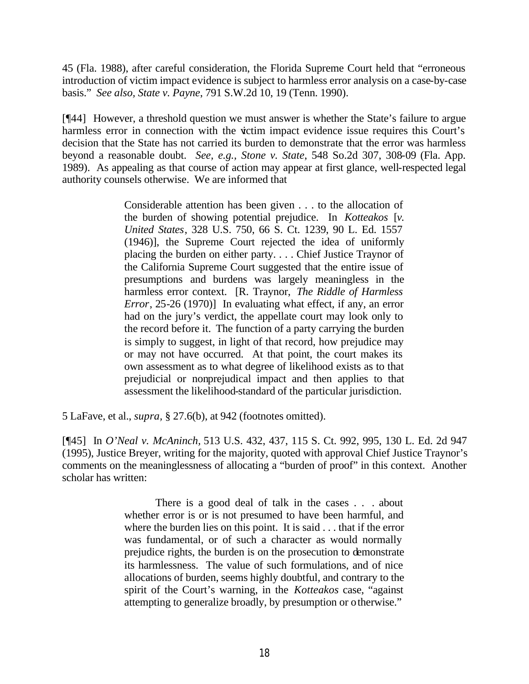45 (Fla. 1988), after careful consideration, the Florida Supreme Court held that "erroneous introduction of victim impact evidence is subject to harmless error analysis on a case-by-case basis." *See also, State v. Payne*, 791 S.W.2d 10, 19 (Tenn. 1990).

[¶44] However, a threshold question we must answer is whether the State's failure to argue harmless error in connection with the victim impact evidence issue requires this Court's decision that the State has not carried its burden to demonstrate that the error was harmless beyond a reasonable doubt. *See, e.g., Stone v. State*, 548 So.2d 307, 308-09 (Fla. App. 1989). As appealing as that course of action may appear at first glance, well-respected legal authority counsels otherwise. We are informed that

> Considerable attention has been given . . . to the allocation of the burden of showing potential prejudice. In *Kotteakos* [*v. United States*, 328 U.S. 750, 66 S. Ct. 1239, 90 L. Ed. 1557 (1946)], the Supreme Court rejected the idea of uniformly placing the burden on either party. . . . Chief Justice Traynor of the California Supreme Court suggested that the entire issue of presumptions and burdens was largely meaningless in the harmless error context. [R. Traynor, *The Riddle of Harmless Error*, 25-26 (1970)] In evaluating what effect, if any, an error had on the jury's verdict, the appellate court may look only to the record before it. The function of a party carrying the burden is simply to suggest, in light of that record, how prejudice may or may not have occurred. At that point, the court makes its own assessment as to what degree of likelihood exists as to that prejudicial or nonprejudical impact and then applies to that assessment the likelihood-standard of the particular jurisdiction.

5 LaFave, et al., *supra,* § 27.6(b), at 942 (footnotes omitted).

[¶45] In *O'Neal v. McAninch,* 513 U.S. 432, 437, 115 S. Ct. 992, 995, 130 L. Ed. 2d 947 (1995), Justice Breyer, writing for the majority, quoted with approval Chief Justice Traynor's comments on the meaninglessness of allocating a "burden of proof" in this context. Another scholar has written:

> There is a good deal of talk in the cases . . . about whether error is or is not presumed to have been harmful, and where the burden lies on this point. It is said . . . that if the error was fundamental, or of such a character as would normally prejudice rights, the burden is on the prosecution to demonstrate its harmlessness. The value of such formulations, and of nice allocations of burden, seems highly doubtful, and contrary to the spirit of the Court's warning, in the *Kotteakos* case, "against attempting to generalize broadly, by presumption or otherwise."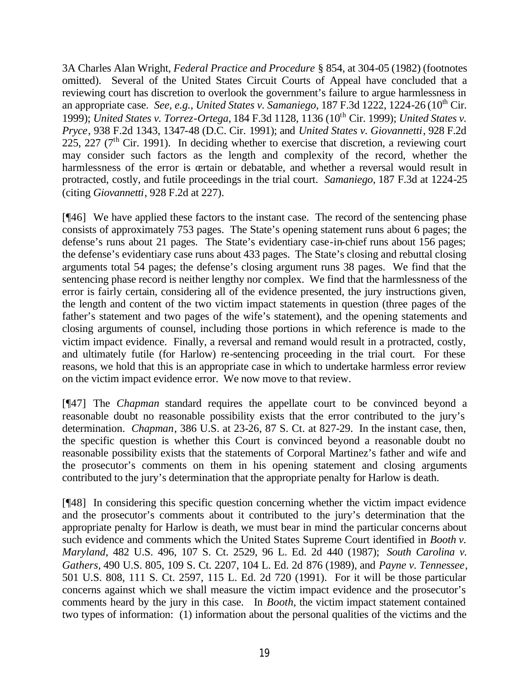3A Charles Alan Wright, *Federal Practice and Procedure* § 854, at 304-05 (1982) (footnotes omitted). Several of the United States Circuit Courts of Appeal have concluded that a reviewing court has discretion to overlook the government's failure to argue harmlessness in an appropriate case. *See, e.g., United States v. Samaniego*, 187 F.3d 1222, 1224-26 (10<sup>th</sup> Cir. 1999); *United States v. Torrez-Ortega,* 184 F.3d 1128, 1136 (10th Cir. 1999); *United States v. Pryce*, 938 F.2d 1343, 1347-48 (D.C. Cir. 1991); and *United States v. Giovannetti*, 928 F.2d 225, 227 ( $7<sup>th</sup>$  Cir. 1991). In deciding whether to exercise that discretion, a reviewing court may consider such factors as the length and complexity of the record, whether the harmlessness of the error is certain or debatable, and whether a reversal would result in protracted, costly, and futile proceedings in the trial court. *Samaniego,* 187 F.3d at 1224-25 (citing *Giovannetti*, 928 F.2d at 227).

[¶46] We have applied these factors to the instant case. The record of the sentencing phase consists of approximately 753 pages. The State's opening statement runs about 6 pages; the defense's runs about 21 pages. The State's evidentiary case-in-chief runs about 156 pages; the defense's evidentiary case runs about 433 pages. The State's closing and rebuttal closing arguments total 54 pages; the defense's closing argument runs 38 pages. We find that the sentencing phase record is neither lengthy nor complex. We find that the harmlessness of the error is fairly certain, considering all of the evidence presented, the jury instructions given, the length and content of the two victim impact statements in question (three pages of the father's statement and two pages of the wife's statement), and the opening statements and closing arguments of counsel, including those portions in which reference is made to the victim impact evidence. Finally, a reversal and remand would result in a protracted, costly, and ultimately futile (for Harlow) re-sentencing proceeding in the trial court. For these reasons, we hold that this is an appropriate case in which to undertake harmless error review on the victim impact evidence error. We now move to that review.

[¶47] The *Chapman* standard requires the appellate court to be convinced beyond a reasonable doubt no reasonable possibility exists that the error contributed to the jury's determination. *Chapman*, 386 U.S. at 23-26, 87 S. Ct. at 827-29. In the instant case, then, the specific question is whether this Court is convinced beyond a reasonable doubt no reasonable possibility exists that the statements of Corporal Martinez's father and wife and the prosecutor's comments on them in his opening statement and closing arguments contributed to the jury's determination that the appropriate penalty for Harlow is death.

[¶48] In considering this specific question concerning whether the victim impact evidence and the prosecutor's comments about it contributed to the jury's determination that the appropriate penalty for Harlow is death, we must bear in mind the particular concerns about such evidence and comments which the United States Supreme Court identified in *Booth v. Maryland*, 482 U.S. 496, 107 S. Ct. 2529, 96 L. Ed. 2d 440 (1987); *South Carolina v. Gathers,* 490 U.S. 805, 109 S. Ct. 2207, 104 L. Ed. 2d 876 (1989), and *Payne v. Tennessee*, 501 U.S. 808, 111 S. Ct. 2597, 115 L. Ed. 2d 720 (1991). For it will be those particular concerns against which we shall measure the victim impact evidence and the prosecutor's comments heard by the jury in this case. In *Booth*, the victim impact statement contained two types of information: (1) information about the personal qualities of the victims and the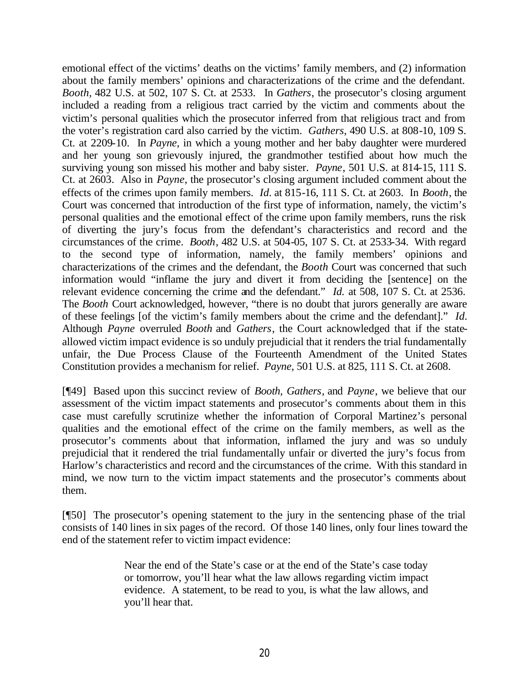emotional effect of the victims' deaths on the victims' family members, and (2) information about the family members' opinions and characterizations of the crime and the defendant. *Booth,* 482 U.S. at 502, 107 S. Ct. at 2533. In *Gathers*, the prosecutor's closing argument included a reading from a religious tract carried by the victim and comments about the victim's personal qualities which the prosecutor inferred from that religious tract and from the voter's registration card also carried by the victim. *Gathers*, 490 U.S. at 808-10, 109 S. Ct. at 2209-10. In *Payne*, in which a young mother and her baby daughter were murdered and her young son grievously injured, the grandmother testified about how much the surviving young son missed his mother and baby sister. *Payne*, 501 U.S. at 814-15, 111 S. Ct. at 2603. Also in *Payne*, the prosecutor's closing argument included comment about the effects of the crimes upon family members. *Id.* at 815-16, 111 S. Ct. at 2603. In *Booth*, the Court was concerned that introduction of the first type of information, namely, the victim's personal qualities and the emotional effect of the crime upon family members, runs the risk of diverting the jury's focus from the defendant's characteristics and record and the circumstances of the crime. *Booth*, 482 U.S. at 504-05, 107 S. Ct. at 2533-34. With regard to the second type of information, namely, the family members' opinions and characterizations of the crimes and the defendant, the *Booth* Court was concerned that such information would "inflame the jury and divert it from deciding the [sentence] on the relevant evidence concerning the crime and the defendant." *Id.* at 508, 107 S. Ct. at 2536. The *Booth* Court acknowledged, however, "there is no doubt that jurors generally are aware of these feelings [of the victim's family members about the crime and the defendant]." *Id.* Although *Payne* overruled *Booth* and *Gathers*, the Court acknowledged that if the stateallowed victim impact evidence is so unduly prejudicial that it renders the trial fundamentally unfair, the Due Process Clause of the Fourteenth Amendment of the United States Constitution provides a mechanism for relief. *Payne*, 501 U.S. at 825, 111 S. Ct. at 2608.

[¶49] Based upon this succinct review of *Booth, Gathers*, and *Payne*, we believe that our assessment of the victim impact statements and prosecutor's comments about them in this case must carefully scrutinize whether the information of Corporal Martinez's personal qualities and the emotional effect of the crime on the family members, as well as the prosecutor's comments about that information, inflamed the jury and was so unduly prejudicial that it rendered the trial fundamentally unfair or diverted the jury's focus from Harlow's characteristics and record and the circumstances of the crime. With this standard in mind, we now turn to the victim impact statements and the prosecutor's comments about them.

[¶50] The prosecutor's opening statement to the jury in the sentencing phase of the trial consists of 140 lines in six pages of the record. Of those 140 lines, only four lines toward the end of the statement refer to victim impact evidence:

> Near the end of the State's case or at the end of the State's case today or tomorrow, you'll hear what the law allows regarding victim impact evidence. A statement, to be read to you, is what the law allows, and you'll hear that.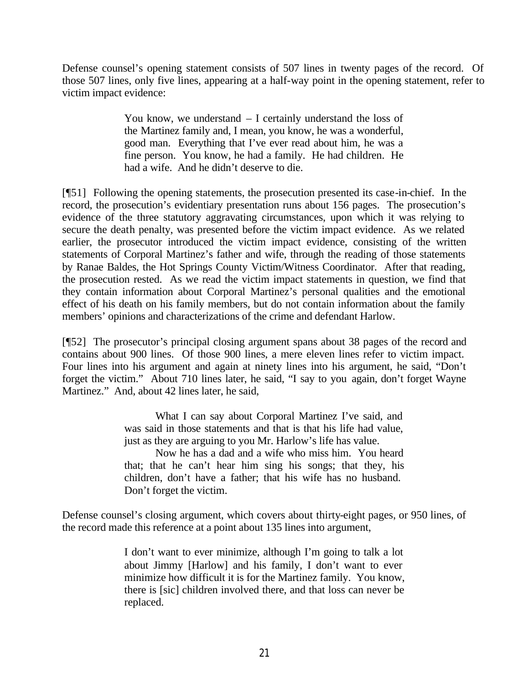Defense counsel's opening statement consists of 507 lines in twenty pages of the record. Of those 507 lines, only five lines, appearing at a half-way point in the opening statement, refer to victim impact evidence:

> You know, we understand – I certainly understand the loss of the Martinez family and, I mean, you know, he was a wonderful, good man. Everything that I've ever read about him, he was a fine person. You know, he had a family. He had children. He had a wife. And he didn't deserve to die.

[¶51] Following the opening statements, the prosecution presented its case-in-chief. In the record, the prosecution's evidentiary presentation runs about 156 pages. The prosecution's evidence of the three statutory aggravating circumstances, upon which it was relying to secure the death penalty, was presented before the victim impact evidence. As we related earlier, the prosecutor introduced the victim impact evidence, consisting of the written statements of Corporal Martinez's father and wife, through the reading of those statements by Ranae Baldes, the Hot Springs County Victim/Witness Coordinator. After that reading, the prosecution rested. As we read the victim impact statements in question, we find that they contain information about Corporal Martinez's personal qualities and the emotional effect of his death on his family members, but do not contain information about the family members' opinions and characterizations of the crime and defendant Harlow.

[¶52] The prosecutor's principal closing argument spans about 38 pages of the record and contains about 900 lines. Of those 900 lines, a mere eleven lines refer to victim impact. Four lines into his argument and again at ninety lines into his argument, he said, "Don't forget the victim." About 710 lines later, he said, "I say to you again, don't forget Wayne Martinez." And, about 42 lines later, he said,

> What I can say about Corporal Martinez I've said, and was said in those statements and that is that his life had value, just as they are arguing to you Mr. Harlow's life has value.

> Now he has a dad and a wife who miss him. You heard that; that he can't hear him sing his songs; that they, his children, don't have a father; that his wife has no husband. Don't forget the victim.

Defense counsel's closing argument, which covers about thirty-eight pages, or 950 lines, of the record made this reference at a point about 135 lines into argument,

> I don't want to ever minimize, although I'm going to talk a lot about Jimmy [Harlow] and his family, I don't want to ever minimize how difficult it is for the Martinez family. You know, there is [sic] children involved there, and that loss can never be replaced.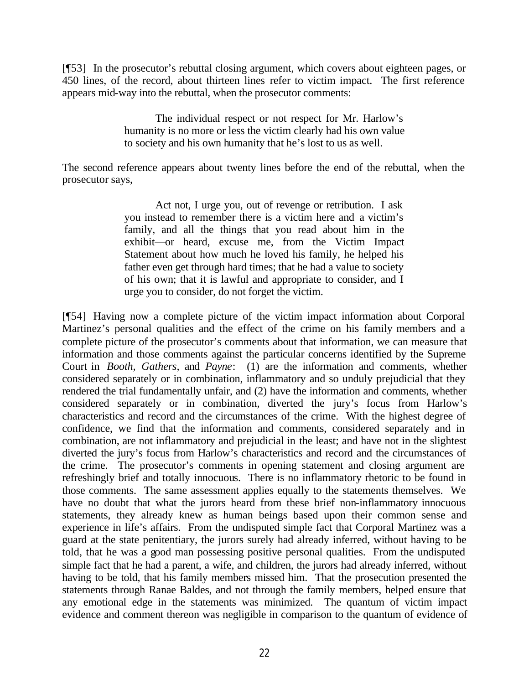[¶53] In the prosecutor's rebuttal closing argument, which covers about eighteen pages, or 450 lines, of the record, about thirteen lines refer to victim impact. The first reference appears mid-way into the rebuttal, when the prosecutor comments:

> The individual respect or not respect for Mr. Harlow's humanity is no more or less the victim clearly had his own value to society and his own humanity that he's lost to us as well.

The second reference appears about twenty lines before the end of the rebuttal, when the prosecutor says,

> Act not, I urge you, out of revenge or retribution. I ask you instead to remember there is a victim here and a victim's family, and all the things that you read about him in the exhibit—or heard, excuse me, from the Victim Impact Statement about how much he loved his family, he helped his father even get through hard times; that he had a value to society of his own; that it is lawful and appropriate to consider, and I urge you to consider, do not forget the victim.

[¶54] Having now a complete picture of the victim impact information about Corporal Martinez's personal qualities and the effect of the crime on his family members and a complete picture of the prosecutor's comments about that information, we can measure that information and those comments against the particular concerns identified by the Supreme Court in *Booth, Gathers,* and *Payne*: (1) are the information and comments, whether considered separately or in combination, inflammatory and so unduly prejudicial that they rendered the trial fundamentally unfair, and (2) have the information and comments, whether considered separately or in combination, diverted the jury's focus from Harlow's characteristics and record and the circumstances of the crime. With the highest degree of confidence, we find that the information and comments, considered separately and in combination, are not inflammatory and prejudicial in the least; and have not in the slightest diverted the jury's focus from Harlow's characteristics and record and the circumstances of the crime. The prosecutor's comments in opening statement and closing argument are refreshingly brief and totally innocuous. There is no inflammatory rhetoric to be found in those comments. The same assessment applies equally to the statements themselves. We have no doubt that what the jurors heard from these brief non-inflammatory innocuous statements, they already knew as human beings based upon their common sense and experience in life's affairs. From the undisputed simple fact that Corporal Martinez was a guard at the state penitentiary, the jurors surely had already inferred, without having to be told, that he was a good man possessing positive personal qualities. From the undisputed simple fact that he had a parent, a wife, and children, the jurors had already inferred, without having to be told, that his family members missed him. That the prosecution presented the statements through Ranae Baldes, and not through the family members, helped ensure that any emotional edge in the statements was minimized. The quantum of victim impact evidence and comment thereon was negligible in comparison to the quantum of evidence of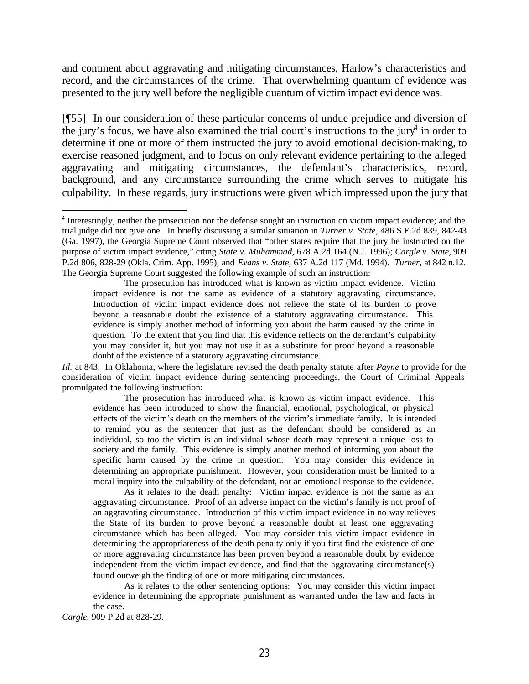and comment about aggravating and mitigating circumstances, Harlow's characteristics and record, and the circumstances of the crime. That overwhelming quantum of evidence was presented to the jury well before the negligible quantum of victim impact evidence was.

[¶55] In our consideration of these particular concerns of undue prejudice and diversion of the jury's focus, we have also examined the trial court's instructions to the jury<sup>4</sup> in order to determine if one or more of them instructed the jury to avoid emotional decision-making, to exercise reasoned judgment, and to focus on only relevant evidence pertaining to the alleged aggravating and mitigating circumstances, the defendant's characteristics, record, background, and any circumstance surrounding the crime which serves to mitigate his culpability. In these regards, jury instructions were given which impressed upon the jury that

The prosecution has introduced what is known as victim impact evidence. Victim impact evidence is not the same as evidence of a statutory aggravating circumstance. Introduction of victim impact evidence does not relieve the state of its burden to prove beyond a reasonable doubt the existence of a statutory aggravating circumstance. This evidence is simply another method of informing you about the harm caused by the crime in question. To the extent that you find that this evidence reflects on the defendant's culpability you may consider it, but you may not use it as a substitute for proof beyond a reasonable doubt of the existence of a statutory aggravating circumstance.

*Id.* at 843. In Oklahoma, where the legislature revised the death penalty statute after *Payne* to provide for the consideration of victim impact evidence during sentencing proceedings, the Court of Criminal Appeals promulgated the following instruction:

The prosecution has introduced what is known as victim impact evidence. This evidence has been introduced to show the financial, emotional, psychological, or physical effects of the victim's death on the members of the victim's immediate family. It is intended to remind you as the sentencer that just as the defendant should be considered as an individual, so too the victim is an individual whose death may represent a unique loss to society and the family. This evidence is simply another method of informing you about the specific harm caused by the crime in question. You may consider this evidence in determining an appropriate punishment. However, your consideration must be limited to a moral inquiry into the culpability of the defendant, not an emotional response to the evidence.

As it relates to the death penalty: Victim impact evidence is not the same as an aggravating circumstance. Proof of an adverse impact on the victim's family is not proof of an aggravating circumstance. Introduction of this victim impact evidence in no way relieves the State of its burden to prove beyond a reasonable doubt at least one aggravating circumstance which has been alleged. You may consider this victim impact evidence in determining the appropriateness of the death penalty only if you first find the existence of one or more aggravating circumstance has been proven beyond a reasonable doubt by evidence independent from the victim impact evidence, and find that the aggravating circumstance(s) found outweigh the finding of one or more mitigating circumstances.

As it relates to the other sentencing options: You may consider this victim impact evidence in determining the appropriate punishment as warranted under the law and facts in the case.

*Cargle*, 909 P.2d at 828-29.

<sup>4</sup> Interestingly, neither the prosecution nor the defense sought an instruction on victim impact evidence; and the trial judge did not give one. In briefly discussing a similar situation in *Turner v. State*, 486 S.E.2d 839, 842-43 (Ga. 1997), the Georgia Supreme Court observed that "other states require that the jury be instructed on the purpose of victim impact evidence," citing *State v. Muhammad*, 678 A.2d 164 (N.J. 1996); *Cargle v. State*, 909 P.2d 806, 828-29 (Okla. Crim. App. 1995); and *Evans v. State*, 637 A.2d 117 (Md. 1994). *Turner,* at 842 n.12. The Georgia Supreme Court suggested the following example of such an instruction: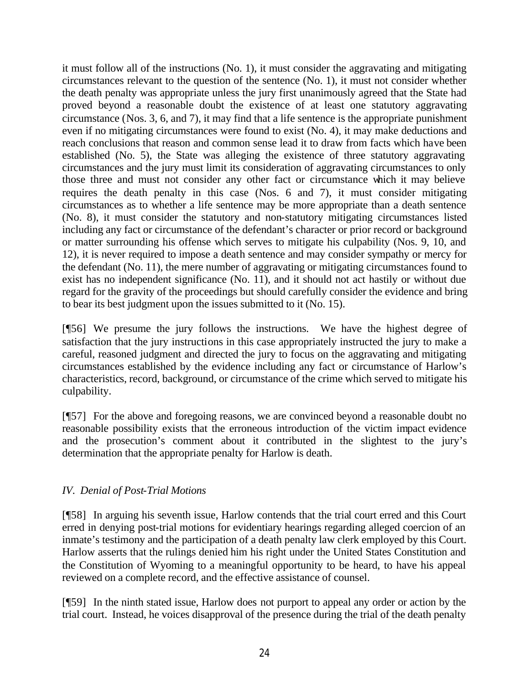it must follow all of the instructions (No. 1), it must consider the aggravating and mitigating circumstances relevant to the question of the sentence (No. 1), it must not consider whether the death penalty was appropriate unless the jury first unanimously agreed that the State had proved beyond a reasonable doubt the existence of at least one statutory aggravating circumstance (Nos. 3, 6, and 7), it may find that a life sentence is the appropriate punishment even if no mitigating circumstances were found to exist (No. 4), it may make deductions and reach conclusions that reason and common sense lead it to draw from facts which have been established (No. 5), the State was alleging the existence of three statutory aggravating circumstances and the jury must limit its consideration of aggravating circumstances to only those three and must not consider any other fact or circumstance which it may believe requires the death penalty in this case (Nos. 6 and 7), it must consider mitigating circumstances as to whether a life sentence may be more appropriate than a death sentence (No. 8), it must consider the statutory and non-statutory mitigating circumstances listed including any fact or circumstance of the defendant's character or prior record or background or matter surrounding his offense which serves to mitigate his culpability (Nos. 9, 10, and 12), it is never required to impose a death sentence and may consider sympathy or mercy for the defendant (No. 11), the mere number of aggravating or mitigating circumstances found to exist has no independent significance (No. 11), and it should not act hastily or without due regard for the gravity of the proceedings but should carefully consider the evidence and bring to bear its best judgment upon the issues submitted to it (No. 15).

[¶56] We presume the jury follows the instructions. We have the highest degree of satisfaction that the jury instructions in this case appropriately instructed the jury to make a careful, reasoned judgment and directed the jury to focus on the aggravating and mitigating circumstances established by the evidence including any fact or circumstance of Harlow's characteristics, record, background, or circumstance of the crime which served to mitigate his culpability.

[¶57] For the above and foregoing reasons, we are convinced beyond a reasonable doubt no reasonable possibility exists that the erroneous introduction of the victim impact evidence and the prosecution's comment about it contributed in the slightest to the jury's determination that the appropriate penalty for Harlow is death.

# *IV. Denial of Post-Trial Motions*

[¶58] In arguing his seventh issue, Harlow contends that the trial court erred and this Court erred in denying post-trial motions for evidentiary hearings regarding alleged coercion of an inmate's testimony and the participation of a death penalty law clerk employed by this Court. Harlow asserts that the rulings denied him his right under the United States Constitution and the Constitution of Wyoming to a meaningful opportunity to be heard, to have his appeal reviewed on a complete record, and the effective assistance of counsel.

[¶59] In the ninth stated issue, Harlow does not purport to appeal any order or action by the trial court. Instead, he voices disapproval of the presence during the trial of the death penalty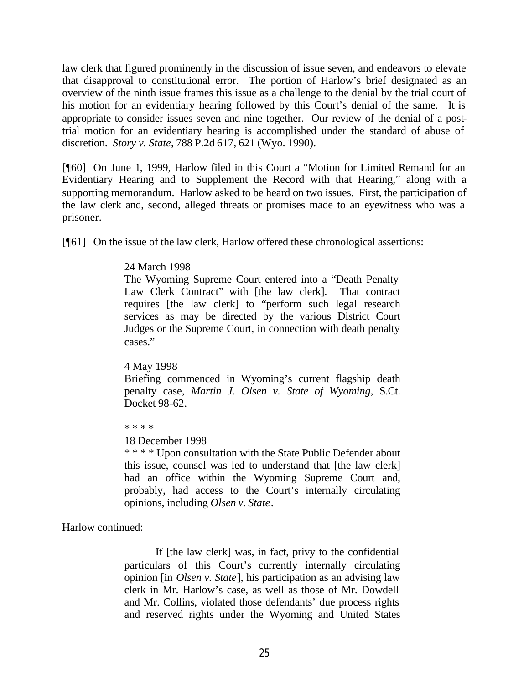law clerk that figured prominently in the discussion of issue seven, and endeavors to elevate that disapproval to constitutional error. The portion of Harlow's brief designated as an overview of the ninth issue frames this issue as a challenge to the denial by the trial court of his motion for an evidentiary hearing followed by this Court's denial of the same. It is appropriate to consider issues seven and nine together. Our review of the denial of a posttrial motion for an evidentiary hearing is accomplished under the standard of abuse of discretion. *Story v. State*, 788 P.2d 617, 621 (Wyo. 1990).

[¶60] On June 1, 1999, Harlow filed in this Court a "Motion for Limited Remand for an Evidentiary Hearing and to Supplement the Record with that Hearing," along with a supporting memorandum. Harlow asked to be heard on two issues. First, the participation of the law clerk and, second, alleged threats or promises made to an eyewitness who was a prisoner.

[¶61] On the issue of the law clerk, Harlow offered these chronological assertions:

# 24 March 1998

The Wyoming Supreme Court entered into a "Death Penalty Law Clerk Contract" with [the law clerk]. That contract requires [the law clerk] to "perform such legal research services as may be directed by the various District Court Judges or the Supreme Court, in connection with death penalty cases."

#### 4 May 1998

Briefing commenced in Wyoming's current flagship death penalty case, *Martin J. Olsen v. State of Wyoming*, S.Ct. Docket 98-62.

\* \* \* \*

## 18 December 1998

\* \* \* \* Upon consultation with the State Public Defender about this issue, counsel was led to understand that [the law clerk] had an office within the Wyoming Supreme Court and, probably, had access to the Court's internally circulating opinions, including *Olsen v. State*.

Harlow continued:

If [the law clerk] was, in fact, privy to the confidential particulars of this Court's currently internally circulating opinion [in *Olsen v. State*], his participation as an advising law clerk in Mr. Harlow's case, as well as those of Mr. Dowdell and Mr. Collins, violated those defendants' due process rights and reserved rights under the Wyoming and United States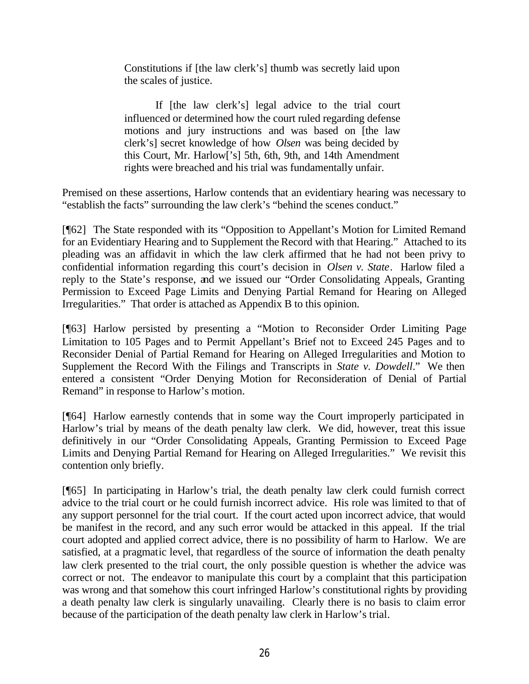Constitutions if [the law clerk's] thumb was secretly laid upon the scales of justice.

If [the law clerk's] legal advice to the trial court influenced or determined how the court ruled regarding defense motions and jury instructions and was based on [the law clerk's] secret knowledge of how *Olsen* was being decided by this Court, Mr. Harlow['s] 5th, 6th, 9th, and 14th Amendment rights were breached and his trial was fundamentally unfair.

Premised on these assertions, Harlow contends that an evidentiary hearing was necessary to "establish the facts" surrounding the law clerk's "behind the scenes conduct."

[¶62] The State responded with its "Opposition to Appellant's Motion for Limited Remand for an Evidentiary Hearing and to Supplement the Record with that Hearing." Attached to its pleading was an affidavit in which the law clerk affirmed that he had not been privy to confidential information regarding this court's decision in *Olsen v. State*. Harlow filed a reply to the State's response, and we issued our "Order Consolidating Appeals, Granting Permission to Exceed Page Limits and Denying Partial Remand for Hearing on Alleged Irregularities." That order is attached as Appendix B to this opinion.

[¶63] Harlow persisted by presenting a "Motion to Reconsider Order Limiting Page Limitation to 105 Pages and to Permit Appellant's Brief not to Exceed 245 Pages and to Reconsider Denial of Partial Remand for Hearing on Alleged Irregularities and Motion to Supplement the Record With the Filings and Transcripts in *State v. Dowdell*." We then entered a consistent "Order Denying Motion for Reconsideration of Denial of Partial Remand" in response to Harlow's motion.

[¶64] Harlow earnestly contends that in some way the Court improperly participated in Harlow's trial by means of the death penalty law clerk. We did, however, treat this issue definitively in our "Order Consolidating Appeals, Granting Permission to Exceed Page Limits and Denying Partial Remand for Hearing on Alleged Irregularities." We revisit this contention only briefly.

[¶65] In participating in Harlow's trial, the death penalty law clerk could furnish correct advice to the trial court or he could furnish incorrect advice. His role was limited to that of any support personnel for the trial court. If the court acted upon incorrect advice, that would be manifest in the record, and any such error would be attacked in this appeal. If the trial court adopted and applied correct advice, there is no possibility of harm to Harlow. We are satisfied, at a pragmatic level, that regardless of the source of information the death penalty law clerk presented to the trial court, the only possible question is whether the advice was correct or not. The endeavor to manipulate this court by a complaint that this participation was wrong and that somehow this court infringed Harlow's constitutional rights by providing a death penalty law clerk is singularly unavailing. Clearly there is no basis to claim error because of the participation of the death penalty law clerk in Harlow's trial.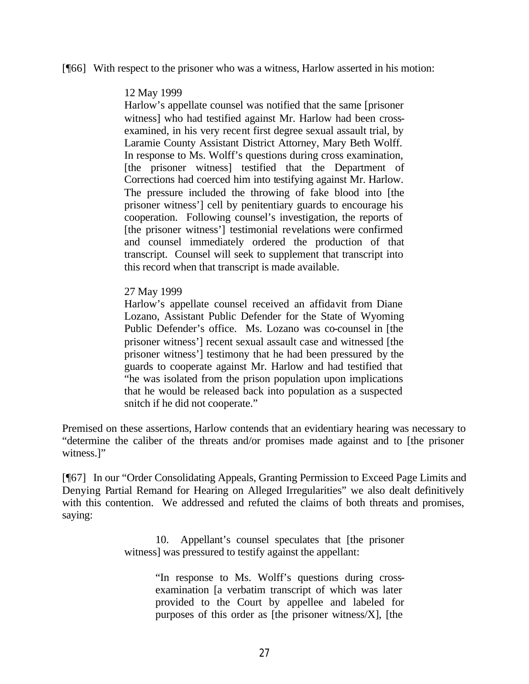#### [¶66] With respect to the prisoner who was a witness, Harlow asserted in his motion:

#### 12 May 1999

Harlow's appellate counsel was notified that the same [prisoner witness] who had testified against Mr. Harlow had been crossexamined, in his very recent first degree sexual assault trial, by Laramie County Assistant District Attorney, Mary Beth Wolff. In response to Ms. Wolff's questions during cross examination, [the prisoner witness] testified that the Department of Corrections had coerced him into testifying against Mr. Harlow. The pressure included the throwing of fake blood into [the prisoner witness'] cell by penitentiary guards to encourage his cooperation. Following counsel's investigation, the reports of [the prisoner witness'] testimonial revelations were confirmed and counsel immediately ordered the production of that transcript. Counsel will seek to supplement that transcript into this record when that transcript is made available.

#### 27 May 1999

Harlow's appellate counsel received an affidavit from Diane Lozano, Assistant Public Defender for the State of Wyoming Public Defender's office. Ms. Lozano was co-counsel in [the prisoner witness'] recent sexual assault case and witnessed [the prisoner witness'] testimony that he had been pressured by the guards to cooperate against Mr. Harlow and had testified that "he was isolated from the prison population upon implications that he would be released back into population as a suspected snitch if he did not cooperate."

Premised on these assertions, Harlow contends that an evidentiary hearing was necessary to "determine the caliber of the threats and/or promises made against and to [the prisoner witness.]"

[¶67] In our "Order Consolidating Appeals, Granting Permission to Exceed Page Limits and Denying Partial Remand for Hearing on Alleged Irregularities" we also dealt definitively with this contention. We addressed and refuted the claims of both threats and promises, saying:

> 10. Appellant's counsel speculates that [the prisoner witness] was pressured to testify against the appellant:

> > "In response to Ms. Wolff's questions during crossexamination [a verbatim transcript of which was later provided to the Court by appellee and labeled for purposes of this order as [the prisoner witness $[X]$ , [the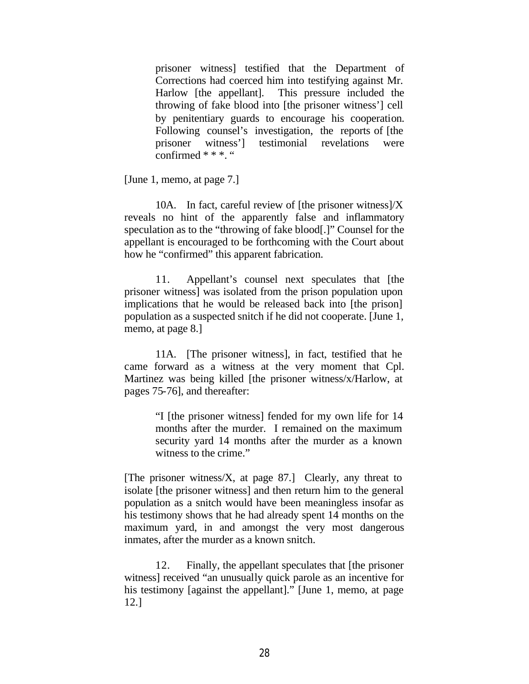prisoner witness] testified that the Department of Corrections had coerced him into testifying against Mr. Harlow [the appellant]. This pressure included the throwing of fake blood into [the prisoner witness'] cell by penitentiary guards to encourage his cooperation. Following counsel's investigation, the reports of [the prisoner witness'] testimonial revelations were confirmed \* \* \*. "

[June 1, memo, at page 7.]

10A. In fact, careful review of [the prisoner witness] $/X$ reveals no hint of the apparently false and inflammatory speculation as to the "throwing of fake blood[.]" Counsel for the appellant is encouraged to be forthcoming with the Court about how he "confirmed" this apparent fabrication.

11. Appellant's counsel next speculates that [the prisoner witness] was isolated from the prison population upon implications that he would be released back into [the prison] population as a suspected snitch if he did not cooperate. [June 1, memo, at page 8.]

11A. [The prisoner witness], in fact, testified that he came forward as a witness at the very moment that Cpl. Martinez was being killed [the prisoner witness/x/Harlow, at pages 75-76], and thereafter:

> "I [the prisoner witness] fended for my own life for 14 months after the murder. I remained on the maximum security yard 14 months after the murder as a known witness to the crime."

[The prisoner witness/X, at page 87.] Clearly, any threat to isolate [the prisoner witness] and then return him to the general population as a snitch would have been meaningless insofar as his testimony shows that he had already spent 14 months on the maximum yard, in and amongst the very most dangerous inmates, after the murder as a known snitch.

12. Finally, the appellant speculates that [the prisoner witness] received "an unusually quick parole as an incentive for his testimony [against the appellant]." [June 1, memo, at page 12.]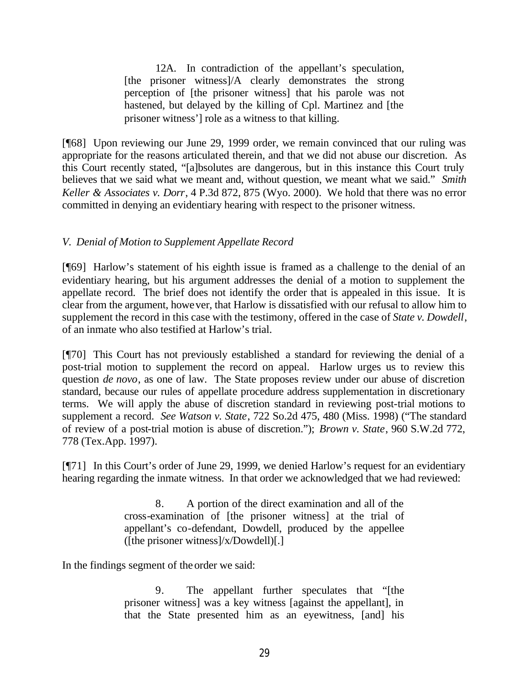12A. In contradiction of the appellant's speculation, [the prisoner witness]/A clearly demonstrates the strong perception of [the prisoner witness] that his parole was not hastened, but delayed by the killing of Cpl. Martinez and [the prisoner witness'] role as a witness to that killing.

[¶68] Upon reviewing our June 29, 1999 order, we remain convinced that our ruling was appropriate for the reasons articulated therein, and that we did not abuse our discretion. As this Court recently stated, "[a]bsolutes are dangerous, but in this instance this Court truly believes that we said what we meant and, without question, we meant what we said." *Smith Keller & Associates v. Dorr*, 4 P.3d 872, 875 (Wyo. 2000). We hold that there was no error committed in denying an evidentiary hearing with respect to the prisoner witness.

## *V. Denial of Motion to Supplement Appellate Record*

[¶69] Harlow's statement of his eighth issue is framed as a challenge to the denial of an evidentiary hearing, but his argument addresses the denial of a motion to supplement the appellate record. The brief does not identify the order that is appealed in this issue. It is clear from the argument, however, that Harlow is dissatisfied with our refusal to allow him to supplement the record in this case with the testimony, offered in the case of *State v. Dowdell*, of an inmate who also testified at Harlow's trial.

[¶70] This Court has not previously established a standard for reviewing the denial of a post-trial motion to supplement the record on appeal. Harlow urges us to review this question *de novo*, as one of law. The State proposes review under our abuse of discretion standard, because our rules of appellate procedure address supplementation in discretionary terms. We will apply the abuse of discretion standard in reviewing post-trial motions to supplement a record. *See Watson v. State*, 722 So.2d 475, 480 (Miss. 1998) ("The standard of review of a post-trial motion is abuse of discretion."); *Brown v. State*, 960 S.W.2d 772, 778 (Tex.App. 1997).

[¶71] In this Court's order of June 29, 1999, we denied Harlow's request for an evidentiary hearing regarding the inmate witness. In that order we acknowledged that we had reviewed:

> 8. A portion of the direct examination and all of the cross-examination of [the prisoner witness] at the trial of appellant's co-defendant, Dowdell, produced by the appellee ([the prisoner witness]/ $x/D$ owdell)[.]

In the findings segment of the order we said:

9. The appellant further speculates that "[the prisoner witness] was a key witness [against the appellant], in that the State presented him as an eyewitness, [and] his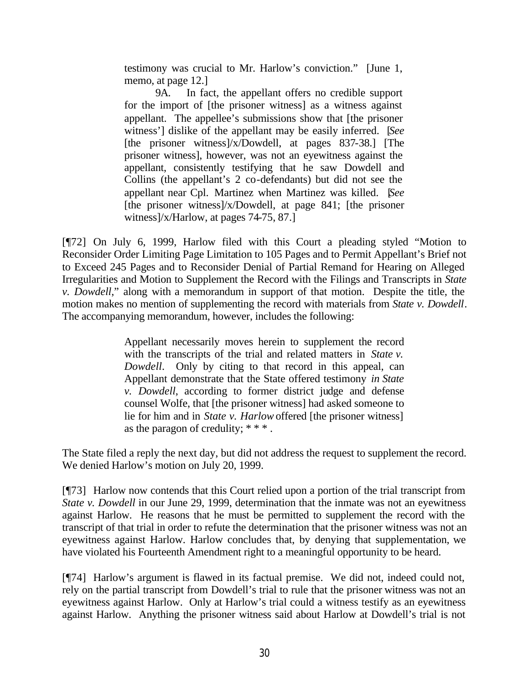testimony was crucial to Mr. Harlow's conviction." [June 1, memo, at page 12.]

9A. In fact, the appellant offers no credible support for the import of [the prisoner witness] as a witness against appellant. The appellee's submissions show that [the prisoner witness'] dislike of the appellant may be easily inferred. [*See* [the prisoner witness]/x/Dowdell, at pages 837-38.] [The prisoner witness], however, was not an eyewitness against the appellant, consistently testifying that he saw Dowdell and Collins (the appellant's 2 co-defendants) but did not see the appellant near Cpl. Martinez when Martinez was killed. [*See* [the prisoner witness]/x/Dowdell, at page 841; [the prisoner witness]/x/Harlow, at pages 74-75, 87.]

[¶72] On July 6, 1999, Harlow filed with this Court a pleading styled "Motion to Reconsider Order Limiting Page Limitation to 105 Pages and to Permit Appellant's Brief not to Exceed 245 Pages and to Reconsider Denial of Partial Remand for Hearing on Alleged Irregularities and Motion to Supplement the Record with the Filings and Transcripts in *State v. Dowdell*," along with a memorandum in support of that motion. Despite the title, the motion makes no mention of supplementing the record with materials from *State v. Dowdell*. The accompanying memorandum, however, includes the following:

> Appellant necessarily moves herein to supplement the record with the transcripts of the trial and related matters in *State v. Dowdell*. Only by citing to that record in this appeal, can Appellant demonstrate that the State offered testimony *in State v. Dowdell*, according to former district judge and defense counsel Wolfe, that [the prisoner witness] had asked someone to lie for him and in *State v. Harlow* offered [the prisoner witness] as the paragon of credulity; \* \* \* .

The State filed a reply the next day, but did not address the request to supplement the record. We denied Harlow's motion on July 20, 1999.

[¶73] Harlow now contends that this Court relied upon a portion of the trial transcript from *State v. Dowdell* in our June 29, 1999, determination that the inmate was not an eyewitness against Harlow. He reasons that he must be permitted to supplement the record with the transcript of that trial in order to refute the determination that the prisoner witness was not an eyewitness against Harlow. Harlow concludes that, by denying that supplementation, we have violated his Fourteenth Amendment right to a meaningful opportunity to be heard.

[¶74] Harlow's argument is flawed in its factual premise. We did not, indeed could not, rely on the partial transcript from Dowdell's trial to rule that the prisoner witness was not an eyewitness against Harlow. Only at Harlow's trial could a witness testify as an eyewitness against Harlow. Anything the prisoner witness said about Harlow at Dowdell's trial is not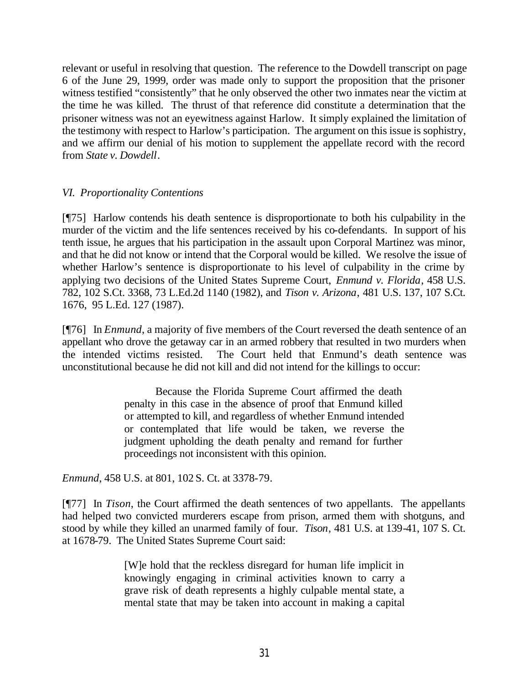relevant or useful in resolving that question. The reference to the Dowdell transcript on page 6 of the June 29, 1999, order was made only to support the proposition that the prisoner witness testified "consistently" that he only observed the other two inmates near the victim at the time he was killed. The thrust of that reference did constitute a determination that the prisoner witness was not an eyewitness against Harlow. It simply explained the limitation of the testimony with respect to Harlow's participation. The argument on this issue is sophistry, and we affirm our denial of his motion to supplement the appellate record with the record from *State v. Dowdell*.

## *VI. Proportionality Contentions*

[¶75] Harlow contends his death sentence is disproportionate to both his culpability in the murder of the victim and the life sentences received by his co-defendants. In support of his tenth issue, he argues that his participation in the assault upon Corporal Martinez was minor, and that he did not know or intend that the Corporal would be killed. We resolve the issue of whether Harlow's sentence is disproportionate to his level of culpability in the crime by applying two decisions of the United States Supreme Court, *Enmund v. Florida*, 458 U.S. 782, 102 S.Ct. 3368, 73 L.Ed.2d 1140 (1982), and *Tison v. Arizona*, 481 U.S. 137, 107 S.Ct. 1676, 95 L.Ed. 127 (1987).

[¶76] In *Enmund*, a majority of five members of the Court reversed the death sentence of an appellant who drove the getaway car in an armed robbery that resulted in two murders when the intended victims resisted. The Court held that Enmund's death sentence was unconstitutional because he did not kill and did not intend for the killings to occur:

> Because the Florida Supreme Court affirmed the death penalty in this case in the absence of proof that Enmund killed or attempted to kill, and regardless of whether Enmund intended or contemplated that life would be taken, we reverse the judgment upholding the death penalty and remand for further proceedings not inconsistent with this opinion.

*Enmund*, 458 U.S. at 801, 102 S. Ct. at 3378-79.

[¶77] In *Tison*, the Court affirmed the death sentences of two appellants. The appellants had helped two convicted murderers escape from prison, armed them with shotguns, and stood by while they killed an unarmed family of four. *Tison*, 481 U.S. at 139-41, 107 S. Ct. at 1678-79. The United States Supreme Court said:

> [W]e hold that the reckless disregard for human life implicit in knowingly engaging in criminal activities known to carry a grave risk of death represents a highly culpable mental state, a mental state that may be taken into account in making a capital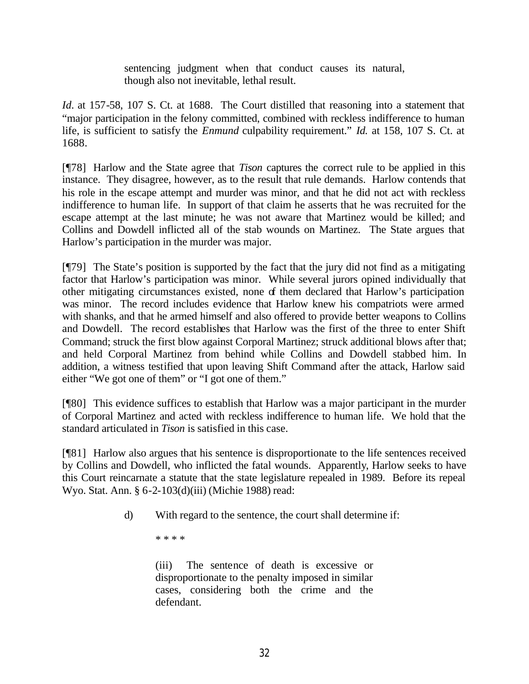sentencing judgment when that conduct causes its natural, though also not inevitable, lethal result.

*Id.* at 157-58, 107 S. Ct. at 1688. The Court distilled that reasoning into a statement that "major participation in the felony committed, combined with reckless indifference to human life, is sufficient to satisfy the *Enmund* culpability requirement." *Id.* at 158, 107 S. Ct. at 1688.

[¶78] Harlow and the State agree that *Tison* captures the correct rule to be applied in this instance. They disagree, however, as to the result that rule demands. Harlow contends that his role in the escape attempt and murder was minor, and that he did not act with reckless indifference to human life. In support of that claim he asserts that he was recruited for the escape attempt at the last minute; he was not aware that Martinez would be killed; and Collins and Dowdell inflicted all of the stab wounds on Martinez. The State argues that Harlow's participation in the murder was major.

[¶79] The State's position is supported by the fact that the jury did not find as a mitigating factor that Harlow's participation was minor. While several jurors opined individually that other mitigating circumstances existed, none of them declared that Harlow's participation was minor. The record includes evidence that Harlow knew his compatriots were armed with shanks, and that he armed himself and also offered to provide better weapons to Collins and Dowdell. The record establishes that Harlow was the first of the three to enter Shift Command; struck the first blow against Corporal Martinez; struck additional blows after that; and held Corporal Martinez from behind while Collins and Dowdell stabbed him. In addition, a witness testified that upon leaving Shift Command after the attack, Harlow said either "We got one of them" or "I got one of them."

[¶80] This evidence suffices to establish that Harlow was a major participant in the murder of Corporal Martinez and acted with reckless indifference to human life. We hold that the standard articulated in *Tison* is satisfied in this case.

[¶81] Harlow also argues that his sentence is disproportionate to the life sentences received by Collins and Dowdell, who inflicted the fatal wounds. Apparently, Harlow seeks to have this Court reincarnate a statute that the state legislature repealed in 1989. Before its repeal Wyo. Stat. Ann. § 6-2-103(d)(iii) (Michie 1988) read:

d) With regard to the sentence, the court shall determine if:

\* \* \* \*

(iii) The sentence of death is excessive or disproportionate to the penalty imposed in similar cases, considering both the crime and the defendant.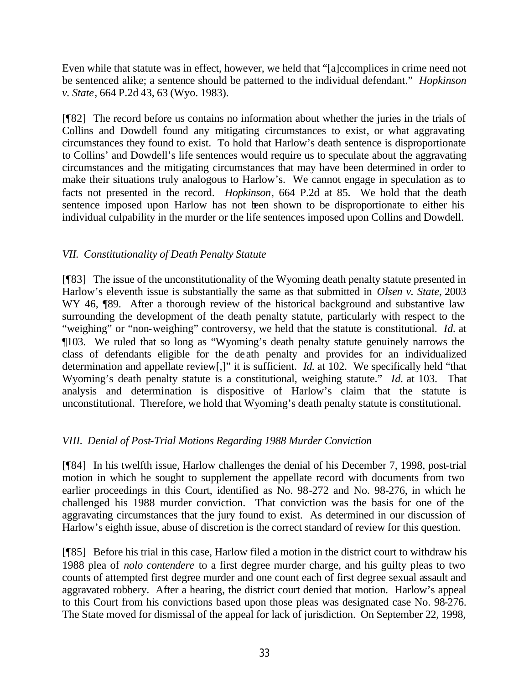Even while that statute was in effect, however, we held that "[a]ccomplices in crime need not be sentenced alike; a sentence should be patterned to the individual defendant." *Hopkinson v. State*, 664 P.2d 43, 63 (Wyo. 1983).

[¶82] The record before us contains no information about whether the juries in the trials of Collins and Dowdell found any mitigating circumstances to exist, or what aggravating circumstances they found to exist. To hold that Harlow's death sentence is disproportionate to Collins' and Dowdell's life sentences would require us to speculate about the aggravating circumstances and the mitigating circumstances that may have been determined in order to make their situations truly analogous to Harlow's. We cannot engage in speculation as to facts not presented in the record. *Hopkinson*, 664 P.2d at 85. We hold that the death sentence imposed upon Harlow has not been shown to be disproportionate to either his individual culpability in the murder or the life sentences imposed upon Collins and Dowdell.

# *VII. Constitutionality of Death Penalty Statute*

[¶83] The issue of the unconstitutionality of the Wyoming death penalty statute presented in Harlow's eleventh issue is substantially the same as that submitted in *Olsen v. State*, 2003 WY 46,  $\sqrt{89}$ . After a thorough review of the historical background and substantive law surrounding the development of the death penalty statute, particularly with respect to the "weighing" or "non-weighing" controversy, we held that the statute is constitutional. *Id.* at ¶103. We ruled that so long as "Wyoming's death penalty statute genuinely narrows the class of defendants eligible for the death penalty and provides for an individualized determination and appellate review[,]" it is sufficient. *Id.* at 102. We specifically held "that Wyoming's death penalty statute is a constitutional, weighing statute." *Id.* at 103. That analysis and determination is dispositive of Harlow's claim that the statute is unconstitutional. Therefore, we hold that Wyoming's death penalty statute is constitutional.

# *VIII. Denial of Post-Trial Motions Regarding 1988 Murder Conviction*

[¶84] In his twelfth issue, Harlow challenges the denial of his December 7, 1998, post-trial motion in which he sought to supplement the appellate record with documents from two earlier proceedings in this Court, identified as No. 98-272 and No. 98-276, in which he challenged his 1988 murder conviction. That conviction was the basis for one of the aggravating circumstances that the jury found to exist. As determined in our discussion of Harlow's eighth issue, abuse of discretion is the correct standard of review for this question.

[¶85] Before his trial in this case, Harlow filed a motion in the district court to withdraw his 1988 plea of *nolo contendere* to a first degree murder charge, and his guilty pleas to two counts of attempted first degree murder and one count each of first degree sexual assault and aggravated robbery. After a hearing, the district court denied that motion. Harlow's appeal to this Court from his convictions based upon those pleas was designated case No. 98-276. The State moved for dismissal of the appeal for lack of jurisdiction. On September 22, 1998,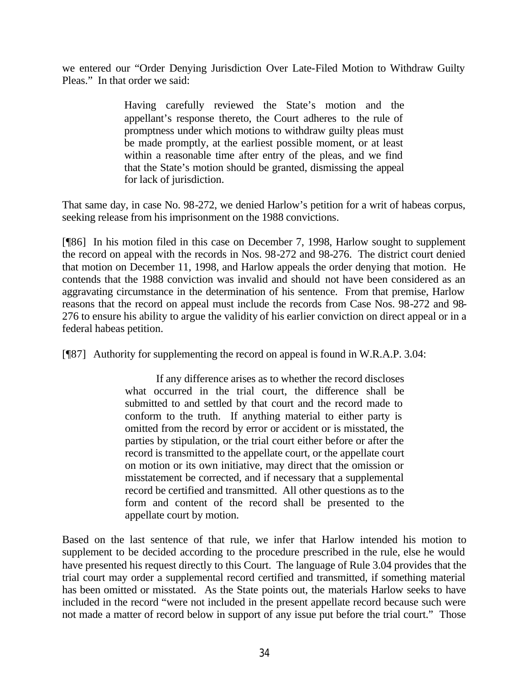we entered our "Order Denying Jurisdiction Over Late-Filed Motion to Withdraw Guilty Pleas." In that order we said:

> Having carefully reviewed the State's motion and the appellant's response thereto, the Court adheres to the rule of promptness under which motions to withdraw guilty pleas must be made promptly, at the earliest possible moment, or at least within a reasonable time after entry of the pleas, and we find that the State's motion should be granted, dismissing the appeal for lack of jurisdiction.

That same day, in case No. 98-272, we denied Harlow's petition for a writ of habeas corpus, seeking release from his imprisonment on the 1988 convictions.

[¶86] In his motion filed in this case on December 7, 1998, Harlow sought to supplement the record on appeal with the records in Nos. 98-272 and 98-276. The district court denied that motion on December 11, 1998, and Harlow appeals the order denying that motion. He contends that the 1988 conviction was invalid and should not have been considered as an aggravating circumstance in the determination of his sentence. From that premise, Harlow reasons that the record on appeal must include the records from Case Nos. 98-272 and 98- 276 to ensure his ability to argue the validity of his earlier conviction on direct appeal or in a federal habeas petition.

[¶87] Authority for supplementing the record on appeal is found in W.R.A.P. 3.04:

If any difference arises as to whether the record discloses what occurred in the trial court, the difference shall be submitted to and settled by that court and the record made to conform to the truth. If anything material to either party is omitted from the record by error or accident or is misstated, the parties by stipulation, or the trial court either before or after the record is transmitted to the appellate court, or the appellate court on motion or its own initiative, may direct that the omission or misstatement be corrected, and if necessary that a supplemental record be certified and transmitted. All other questions as to the form and content of the record shall be presented to the appellate court by motion.

Based on the last sentence of that rule, we infer that Harlow intended his motion to supplement to be decided according to the procedure prescribed in the rule, else he would have presented his request directly to this Court. The language of Rule 3.04 provides that the trial court may order a supplemental record certified and transmitted, if something material has been omitted or misstated. As the State points out, the materials Harlow seeks to have included in the record "were not included in the present appellate record because such were not made a matter of record below in support of any issue put before the trial court." Those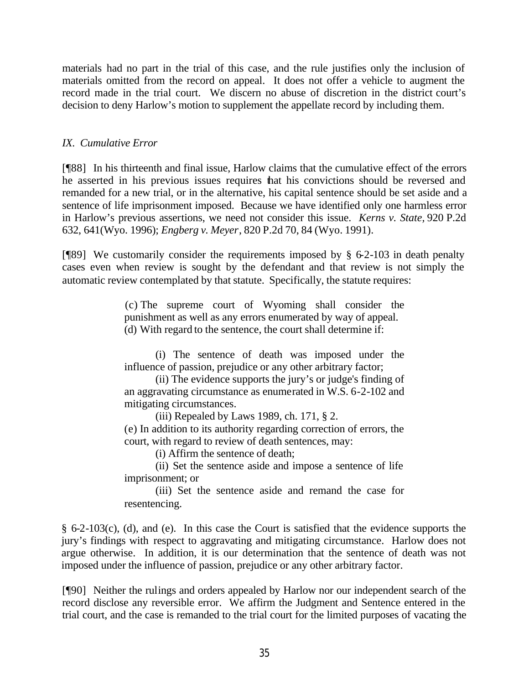materials had no part in the trial of this case, and the rule justifies only the inclusion of materials omitted from the record on appeal. It does not offer a vehicle to augment the record made in the trial court. We discern no abuse of discretion in the district court's decision to deny Harlow's motion to supplement the appellate record by including them.

## *IX. Cumulative Error*

[¶88] In his thirteenth and final issue, Harlow claims that the cumulative effect of the errors he asserted in his previous issues requires that his convictions should be reversed and remanded for a new trial, or in the alternative, his capital sentence should be set aside and a sentence of life imprisonment imposed. Because we have identified only one harmless error in Harlow's previous assertions, we need not consider this issue. *Kerns v. State,* 920 P.2d 632, 641(Wyo. 1996); *Engberg v. Meyer*, 820 P.2d 70, 84 (Wyo. 1991).

[ $[$ [89] We customarily consider the requirements imposed by § 6-2-103 in death penalty cases even when review is sought by the defendant and that review is not simply the automatic review contemplated by that statute. Specifically, the statute requires:

> (c) The supreme court of Wyoming shall consider the punishment as well as any errors enumerated by way of appeal. (d) With regard to the sentence, the court shall determine if:

> (i) The sentence of death was imposed under the influence of passion, prejudice or any other arbitrary factor;

> (ii) The evidence supports the jury's or judge's finding of an aggravating circumstance as enumerated in W.S. 6-2-102 and mitigating circumstances.

> > (iii) Repealed by Laws 1989, ch. 171, § 2.

(e) In addition to its authority regarding correction of errors, the court, with regard to review of death sentences, may:

(i) Affirm the sentence of death;

(ii) Set the sentence aside and impose a sentence of life imprisonment; or

(iii) Set the sentence aside and remand the case for resentencing.

§ 6-2-103(c), (d), and (e). In this case the Court is satisfied that the evidence supports the jury's findings with respect to aggravating and mitigating circumstance. Harlow does not argue otherwise. In addition, it is our determination that the sentence of death was not imposed under the influence of passion, prejudice or any other arbitrary factor.

[¶90] Neither the rulings and orders appealed by Harlow nor our independent search of the record disclose any reversible error. We affirm the Judgment and Sentence entered in the trial court, and the case is remanded to the trial court for the limited purposes of vacating the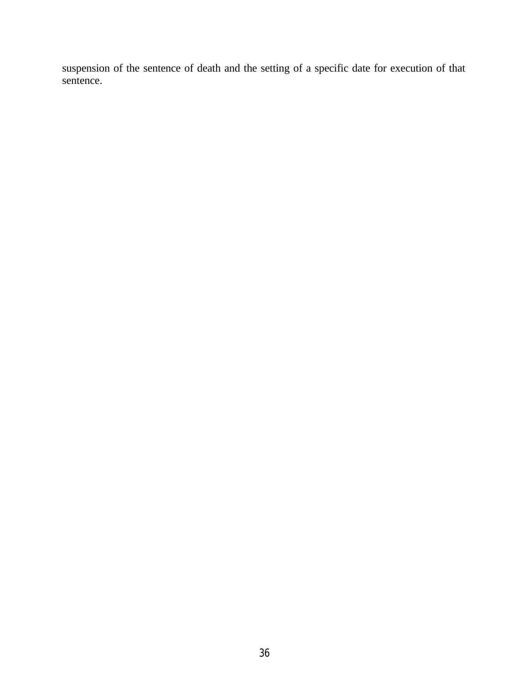suspension of the sentence of death and the setting of a specific date for execution of that sentence.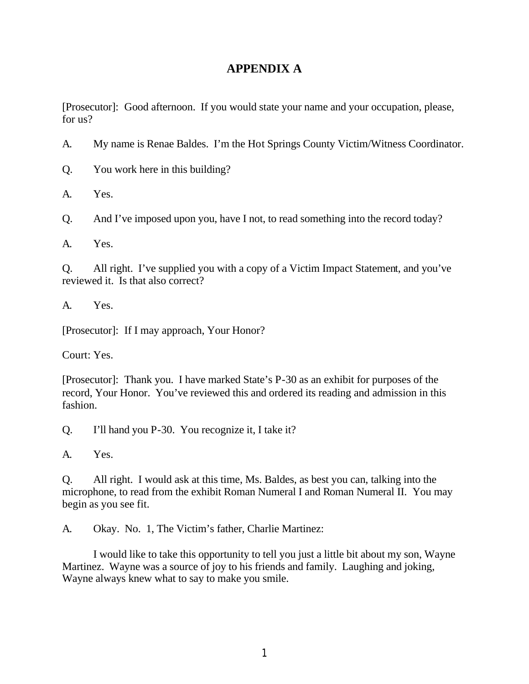# **APPENDIX A**

[Prosecutor]: Good afternoon. If you would state your name and your occupation, please, for us?

A. My name is Renae Baldes. I'm the Hot Springs County Victim/Witness Coordinator.

Q. You work here in this building?

A. Yes.

Q. And I've imposed upon you, have I not, to read something into the record today?

A. Yes.

Q. All right. I've supplied you with a copy of a Victim Impact Statement, and you've reviewed it. Is that also correct?

A. Yes.

[Prosecutor]: If I may approach, Your Honor?

Court: Yes.

[Prosecutor]: Thank you. I have marked State's P-30 as an exhibit for purposes of the record, Your Honor. You've reviewed this and ordered its reading and admission in this fashion.

Q. I'll hand you P-30. You recognize it, I take it?

A. Yes.

Q. All right. I would ask at this time, Ms. Baldes, as best you can, talking into the microphone, to read from the exhibit Roman Numeral I and Roman Numeral II. You may begin as you see fit.

A. Okay. No. 1, The Victim's father, Charlie Martinez:

I would like to take this opportunity to tell you just a little bit about my son, Wayne Martinez. Wayne was a source of joy to his friends and family. Laughing and joking, Wayne always knew what to say to make you smile.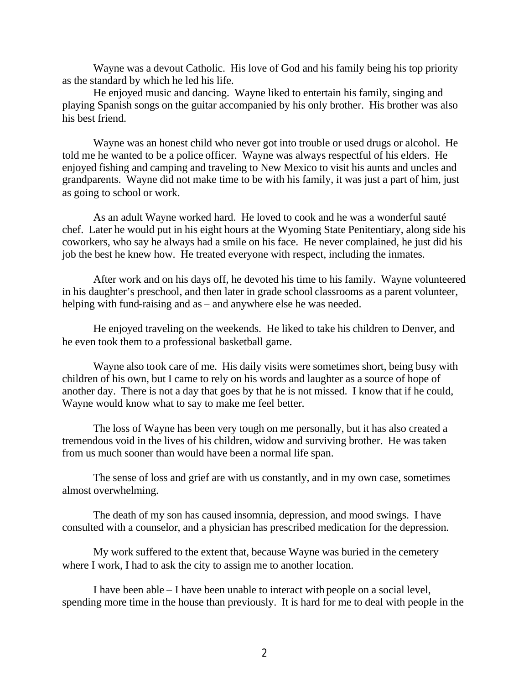Wayne was a devout Catholic. His love of God and his family being his top priority as the standard by which he led his life.

He enjoyed music and dancing. Wayne liked to entertain his family, singing and playing Spanish songs on the guitar accompanied by his only brother. His brother was also his best friend.

Wayne was an honest child who never got into trouble or used drugs or alcohol. He told me he wanted to be a police officer. Wayne was always respectful of his elders. He enjoyed fishing and camping and traveling to New Mexico to visit his aunts and uncles and grandparents. Wayne did not make time to be with his family, it was just a part of him, just as going to school or work.

As an adult Wayne worked hard. He loved to cook and he was a wonderful sauté chef. Later he would put in his eight hours at the Wyoming State Penitentiary, along side his coworkers, who say he always had a smile on his face. He never complained, he just did his job the best he knew how. He treated everyone with respect, including the inmates.

After work and on his days off, he devoted his time to his family. Wayne volunteered in his daughter's preschool, and then later in grade school classrooms as a parent volunteer, helping with fund-raising and as – and anywhere else he was needed.

He enjoyed traveling on the weekends. He liked to take his children to Denver, and he even took them to a professional basketball game.

Wayne also took care of me. His daily visits were sometimes short, being busy with children of his own, but I came to rely on his words and laughter as a source of hope of another day. There is not a day that goes by that he is not missed. I know that if he could, Wayne would know what to say to make me feel better.

The loss of Wayne has been very tough on me personally, but it has also created a tremendous void in the lives of his children, widow and surviving brother. He was taken from us much sooner than would have been a normal life span.

The sense of loss and grief are with us constantly, and in my own case, sometimes almost overwhelming.

The death of my son has caused insomnia, depression, and mood swings. I have consulted with a counselor, and a physician has prescribed medication for the depression.

My work suffered to the extent that, because Wayne was buried in the cemetery where I work, I had to ask the city to assign me to another location.

I have been able – I have been unable to interact with people on a social level, spending more time in the house than previously. It is hard for me to deal with people in the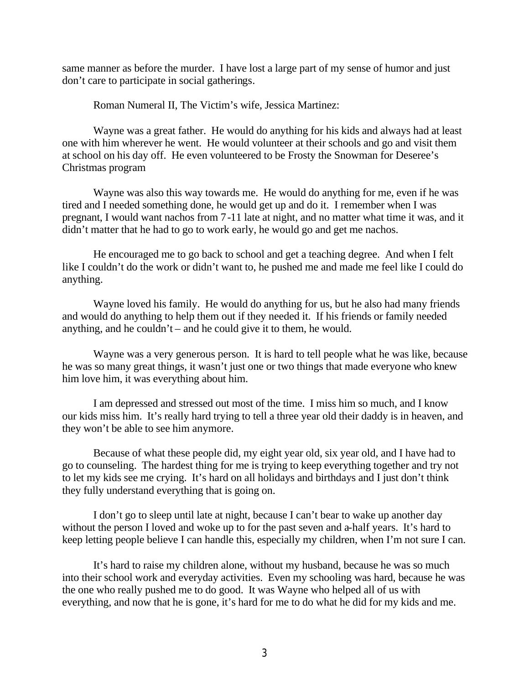same manner as before the murder. I have lost a large part of my sense of humor and just don't care to participate in social gatherings.

Roman Numeral II, The Victim's wife, Jessica Martinez:

Wayne was a great father. He would do anything for his kids and always had at least one with him wherever he went. He would volunteer at their schools and go and visit them at school on his day off. He even volunteered to be Frosty the Snowman for Deseree's Christmas program

Wayne was also this way towards me. He would do anything for me, even if he was tired and I needed something done, he would get up and do it. I remember when I was pregnant, I would want nachos from 7-11 late at night, and no matter what time it was, and it didn't matter that he had to go to work early, he would go and get me nachos.

He encouraged me to go back to school and get a teaching degree. And when I felt like I couldn't do the work or didn't want to, he pushed me and made me feel like I could do anything.

Wayne loved his family. He would do anything for us, but he also had many friends and would do anything to help them out if they needed it. If his friends or family needed anything, and he couldn't – and he could give it to them, he would.

Wayne was a very generous person. It is hard to tell people what he was like, because he was so many great things, it wasn't just one or two things that made everyone who knew him love him, it was everything about him.

I am depressed and stressed out most of the time. I miss him so much, and I know our kids miss him. It's really hard trying to tell a three year old their daddy is in heaven, and they won't be able to see him anymore.

Because of what these people did, my eight year old, six year old, and I have had to go to counseling. The hardest thing for me is trying to keep everything together and try not to let my kids see me crying. It's hard on all holidays and birthdays and I just don't think they fully understand everything that is going on.

I don't go to sleep until late at night, because I can't bear to wake up another day without the person I loved and woke up to for the past seven and a-half years. It's hard to keep letting people believe I can handle this, especially my children, when I'm not sure I can.

It's hard to raise my children alone, without my husband, because he was so much into their school work and everyday activities. Even my schooling was hard, because he was the one who really pushed me to do good. It was Wayne who helped all of us with everything, and now that he is gone, it's hard for me to do what he did for my kids and me.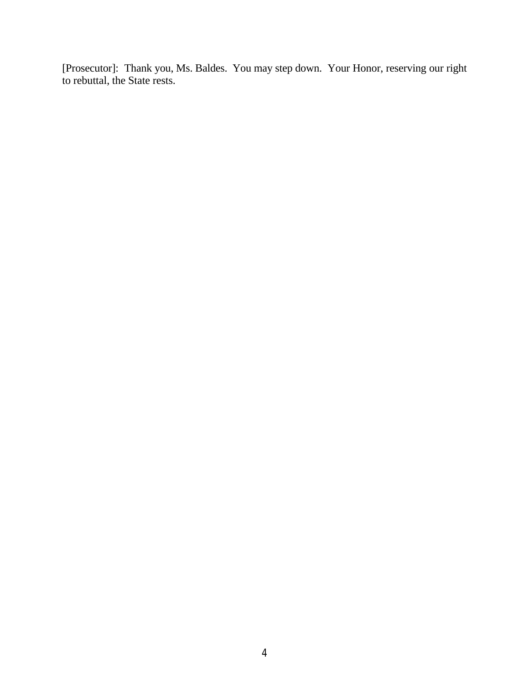[Prosecutor]: Thank you, Ms. Baldes. You may step down. Your Honor, reserving our right to rebuttal, the State rests.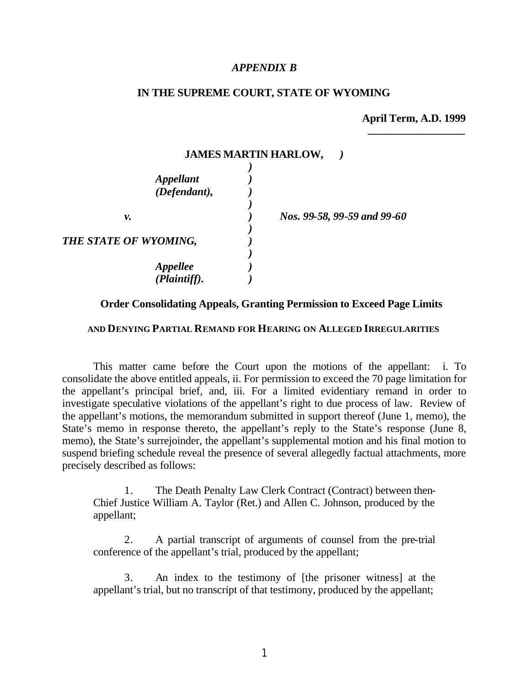#### *APPENDIX B*

#### **IN THE SUPREME COURT, STATE OF WYOMING**

**JAMES MARTIN HARLOW,** *)*

**April Term, A.D. 1999** *\_\_\_\_\_\_\_\_\_\_\_\_\_\_\_\_\_\_*

| $\frac{1}{2}$               |  |
|-----------------------------|--|
|                             |  |
| Nos. 99-58, 99-59 and 99-60 |  |
|                             |  |
|                             |  |
|                             |  |

#### **Order Consolidating Appeals, Granting Permission to Exceed Page Limits**

#### **AND DENYING PARTIAL REMAND FOR HEARING ON ALLEGED IRREGULARITIES**

This matter came before the Court upon the motions of the appellant: i. To consolidate the above entitled appeals, ii. For permission to exceed the 70 page limitation for the appellant's principal brief, and, iii. For a limited evidentiary remand in order to investigate speculative violations of the appellant's right to due process of law. Review of the appellant's motions, the memorandum submitted in support thereof (June 1, memo), the State's memo in response thereto, the appellant's reply to the State's response (June 8, memo), the State's surrejoinder, the appellant's supplemental motion and his final motion to suspend briefing schedule reveal the presence of several allegedly factual attachments, more precisely described as follows:

1. The Death Penalty Law Clerk Contract (Contract) between then-Chief Justice William A. Taylor (Ret.) and Allen C. Johnson, produced by the appellant;

2. A partial transcript of arguments of counsel from the pre-trial conference of the appellant's trial, produced by the appellant;

3. An index to the testimony of [the prisoner witness] at the appellant's trial, but no transcript of that testimony, produced by the appellant;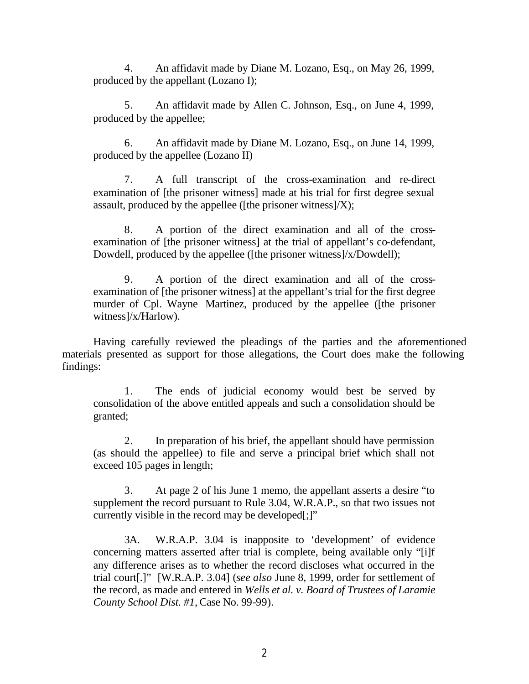4. An affidavit made by Diane M. Lozano, Esq., on May 26, 1999, produced by the appellant (Lozano I);

5. An affidavit made by Allen C. Johnson, Esq., on June 4, 1999, produced by the appellee;

6. An affidavit made by Diane M. Lozano, Esq., on June 14, 1999, produced by the appellee (Lozano II)

7. A full transcript of the cross-examination and re-direct examination of [the prisoner witness] made at his trial for first degree sexual assault, produced by the appellee ([the prisoner witness] $/X$ );

8. A portion of the direct examination and all of the crossexamination of [the prisoner witness] at the trial of appellant's co-defendant, Dowdell, produced by the appellee ([the prisoner witness]/x/Dowdell);

9. A portion of the direct examination and all of the crossexamination of [the prisoner witness] at the appellant's trial for the first degree murder of Cpl. Wayne Martinez, produced by the appellee ([the prisoner witness]/x/Harlow).

Having carefully reviewed the pleadings of the parties and the aforementioned materials presented as support for those allegations, the Court does make the following findings:

1. The ends of judicial economy would best be served by consolidation of the above entitled appeals and such a consolidation should be granted;

2. In preparation of his brief, the appellant should have permission (as should the appellee) to file and serve a principal brief which shall not exceed 105 pages in length;

3. At page 2 of his June 1 memo, the appellant asserts a desire "to supplement the record pursuant to Rule 3.04, W.R.A.P., so that two issues not currently visible in the record may be developed[;]"

3A. W.R.A.P. 3.04 is inapposite to 'development' of evidence concerning matters asserted after trial is complete, being available only "[i]f any difference arises as to whether the record discloses what occurred in the trial court[.]" [W.R.A.P. 3.04] (*see also* June 8, 1999, order for settlement of the record, as made and entered in *Wells et al. v. Board of Trustees of Laramie County School Dist. #1,* Case No. 99-99).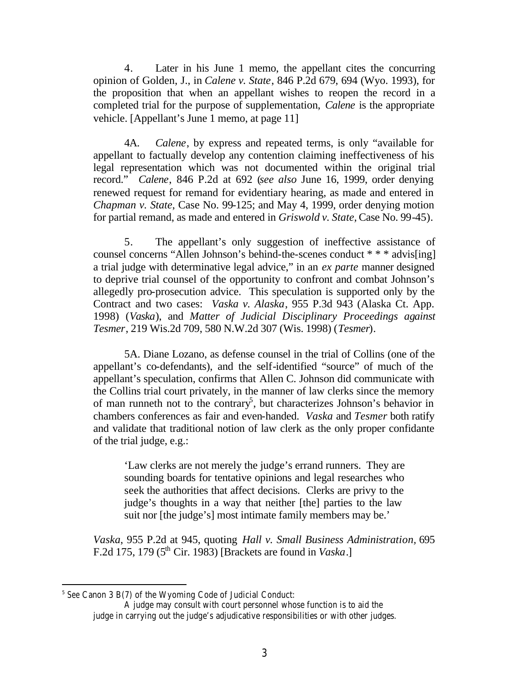4. Later in his June 1 memo, the appellant cites the concurring opinion of Golden, J., in *Calene v. State*, 846 P.2d 679, 694 (Wyo. 1993), for the proposition that when an appellant wishes to reopen the record in a completed trial for the purpose of supplementation, *Calene* is the appropriate vehicle. [Appellant's June 1 memo, at page 11]

4A. *Calene*, by express and repeated terms, is only "available for appellant to factually develop any contention claiming ineffectiveness of his legal representation which was not documented within the original trial record." *Calene*, 846 P.2d at 692 (*see also* June 16, 1999, order denying renewed request for remand for evidentiary hearing, as made and entered in *Chapman v. State*, Case No. 99-125; and May 4, 1999, order denying motion for partial remand, as made and entered in *Griswold v. State,* Case No. 99-45).

5. The appellant's only suggestion of ineffective assistance of counsel concerns "Allen Johnson's behind-the-scenes conduct \* \* \* advis[ing] a trial judge with determinative legal advice," in an *ex parte* manner designed to deprive trial counsel of the opportunity to confront and combat Johnson's allegedly pro-prosecution advice. This speculation is supported only by the Contract and two cases: *Vaska v. Alaska*, 955 P.3d 943 (Alaska Ct. App. 1998) (*Vaska*), and *Matter of Judicial Disciplinary Proceedings against Tesmer*, 219 Wis.2d 709, 580 N.W.2d 307 (Wis. 1998) (*Tesmer*).

5A. Diane Lozano, as defense counsel in the trial of Collins (one of the appellant's co-defendants), and the self-identified "source" of much of the appellant's speculation, confirms that Allen C. Johnson did communicate with the Collins trial court privately, in the manner of law clerks since the memory of man runneth not to the contrary<sup>5</sup>, but characterizes Johnson's behavior in chambers conferences as fair and even-handed. *Vaska* and *Tesmer* both ratify and validate that traditional notion of law clerk as the only proper confidante of the trial judge, e.g.:

'Law clerks are not merely the judge's errand runners. They are sounding boards for tentative opinions and legal researches who seek the authorities that affect decisions. Clerks are privy to the judge's thoughts in a way that neither [the] parties to the law suit nor [the judge's] most intimate family members may be.'

*Vaska*, 955 P.2d at 945, quoting *Hall v. Small Business Administration,* 695 F.2d 175, 179 (5th Cir. 1983) [Brackets are found in *Vaska*.]

<sup>5</sup> *See* Canon 3 B(7) of the Wyoming Code of Judicial Conduct:

A judge may consult with court personnel whose function is to aid the judge in carrying out the judge's adjudicative responsibilities or with other judges.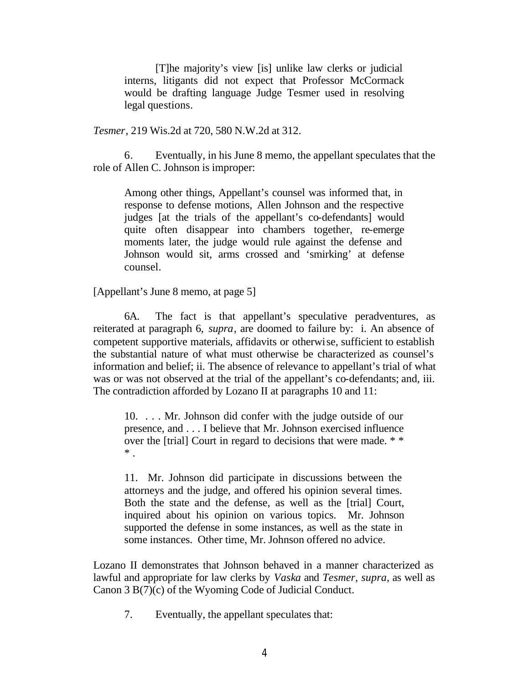[T]he majority's view [is] unlike law clerks or judicial interns, litigants did not expect that Professor McCormack would be drafting language Judge Tesmer used in resolving legal questions.

*Tesmer*, 219 Wis.2d at 720, 580 N.W.2d at 312.

6. Eventually, in his June 8 memo, the appellant speculates that the role of Allen C. Johnson is improper:

Among other things, Appellant's counsel was informed that, in response to defense motions, Allen Johnson and the respective judges [at the trials of the appellant's co-defendants] would quite often disappear into chambers together, re-emerge moments later, the judge would rule against the defense and Johnson would sit, arms crossed and 'smirking' at defense counsel.

[Appellant's June 8 memo, at page 5]

6A. The fact is that appellant's speculative peradventures, as reiterated at paragraph 6, *supra*, are doomed to failure by: i. An absence of competent supportive materials, affidavits or otherwise, sufficient to establish the substantial nature of what must otherwise be characterized as counsel's information and belief; ii. The absence of relevance to appellant's trial of what was or was not observed at the trial of the appellant's co-defendants; and, iii. The contradiction afforded by Lozano II at paragraphs 10 and 11:

10. . . . Mr. Johnson did confer with the judge outside of our presence, and . . . I believe that Mr. Johnson exercised influence over the [trial] Court in regard to decisions that were made. \* \* \* .

11. Mr. Johnson did participate in discussions between the attorneys and the judge, and offered his opinion several times. Both the state and the defense, as well as the [trial] Court, inquired about his opinion on various topics. Mr. Johnson supported the defense in some instances, as well as the state in some instances. Other time, Mr. Johnson offered no advice.

Lozano II demonstrates that Johnson behaved in a manner characterized as lawful and appropriate for law clerks by *Vaska* and *Tesmer, supra*, as well as Canon 3 B(7)(c) of the Wyoming Code of Judicial Conduct.

7. Eventually, the appellant speculates that: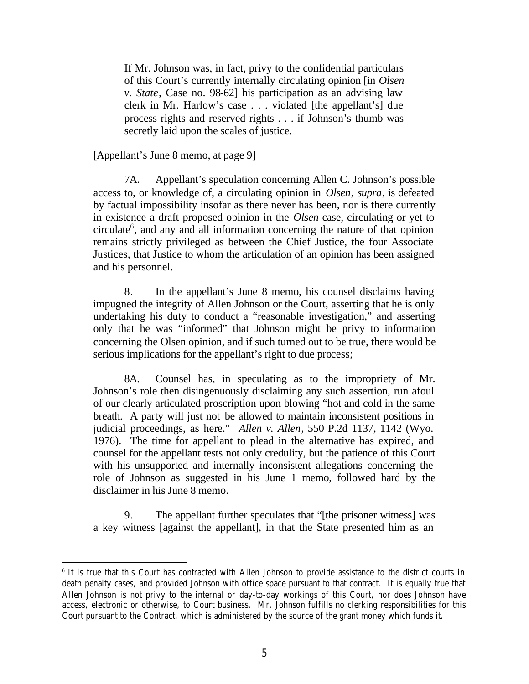If Mr. Johnson was, in fact, privy to the confidential particulars of this Court's currently internally circulating opinion [in *Olsen v. State*, Case no. 98-62] his participation as an advising law clerk in Mr. Harlow's case . . . violated [the appellant's] due process rights and reserved rights . . . if Johnson's thumb was secretly laid upon the scales of justice.

[Appellant's June 8 memo, at page 9]

7A. Appellant's speculation concerning Allen C. Johnson's possible access to, or knowledge of, a circulating opinion in *Olsen*, *supra*, is defeated by factual impossibility insofar as there never has been, nor is there currently in existence a draft proposed opinion in the *Olsen* case, circulating or yet to circulate<sup>6</sup>, and any and all information concerning the nature of that opinion remains strictly privileged as between the Chief Justice, the four Associate Justices, that Justice to whom the articulation of an opinion has been assigned and his personnel.

8. In the appellant's June 8 memo, his counsel disclaims having impugned the integrity of Allen Johnson or the Court, asserting that he is only undertaking his duty to conduct a "reasonable investigation," and asserting only that he was "informed" that Johnson might be privy to information concerning the Olsen opinion, and if such turned out to be true, there would be serious implications for the appellant's right to due process;

8A. Counsel has, in speculating as to the impropriety of Mr. Johnson's role then disingenuously disclaiming any such assertion, run afoul of our clearly articulated proscription upon blowing "hot and cold in the same breath. A party will just not be allowed to maintain inconsistent positions in judicial proceedings, as here." *Allen v. Allen*, 550 P.2d 1137, 1142 (Wyo. 1976). The time for appellant to plead in the alternative has expired, and counsel for the appellant tests not only credulity, but the patience of this Court with his unsupported and internally inconsistent allegations concerning the role of Johnson as suggested in his June 1 memo, followed hard by the disclaimer in his June 8 memo.

9. The appellant further speculates that "[the prisoner witness] was a key witness [against the appellant], in that the State presented him as an

<sup>6</sup> It is true that this Court has contracted with Allen Johnson to provide assistance to the district courts in death penalty cases, and provided Johnson with office space pursuant to that contract. It is equally true that Allen Johnson is not privy to the internal or day-to-day workings of this Court, nor does Johnson have access, electronic or otherwise, to Court business. Mr. Johnson fulfills no clerking responsibilities for this Court pursuant to the Contract, which is administered by the source of the grant money which funds it.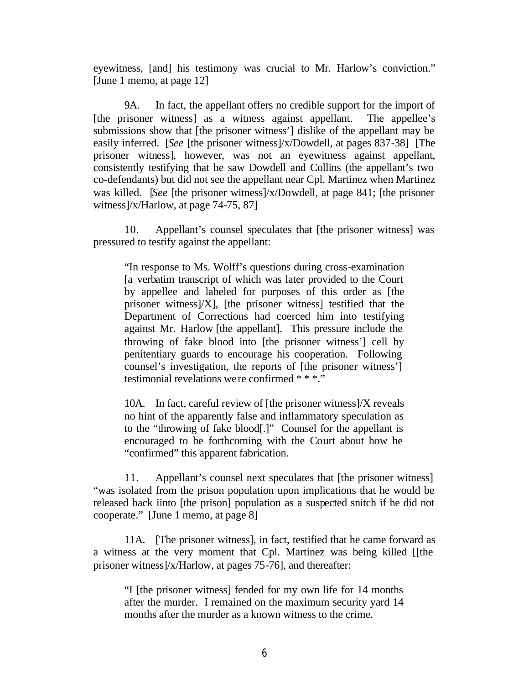eyewitness, [and] his testimony was crucial to Mr. Harlow's conviction." [June 1 memo, at page 12]

9A. In fact, the appellant offers no credible support for the import of [the prisoner witness] as a witness against appellant. The appellee's submissions show that [the prisoner witness'] dislike of the appellant may be easily inferred. [*See* [the prisoner witness]/x/Dowdell, at pages 837-38] [The prisoner witness], however, was not an eyewitness against appellant, consistently testifying that he saw Dowdell and Collins (the appellant's two co-defendants) but did not see the appellant near Cpl. Martinez when Martinez was killed. [*See* [the prisoner witness]/x/Dowdell, at page 841; [the prisoner witness]/x/Harlow, at page 74-75, 87]

10. Appellant's counsel speculates that [the prisoner witness] was pressured to testify against the appellant:

"In response to Ms. Wolff's questions during cross-examination [a verbatim transcript of which was later provided to the Court by appellee and labeled for purposes of this order as [the prisoner witness]/X], [the prisoner witness] testified that the Department of Corrections had coerced him into testifying against Mr. Harlow [the appellant]. This pressure include the throwing of fake blood into [the prisoner witness'] cell by penitentiary guards to encourage his cooperation. Following counsel's investigation, the reports of [the prisoner witness'] testimonial revelations were confirmed \* \* \*."

10A. In fact, careful review of [the prisoner witness]/X reveals no hint of the apparently false and inflammatory speculation as to the "throwing of fake blood[.]" Counsel for the appellant is encouraged to be forthcoming with the Court about how he "confirmed" this apparent fabrication.

11. Appellant's counsel next speculates that [the prisoner witness] "was isolated from the prison population upon implications that he would be released back iinto [the prison] population as a suspected snitch if he did not cooperate." [June 1 memo, at page 8]

11A. [The prisoner witness], in fact, testified that he came forward as a witness at the very moment that Cpl. Martinez was being killed [[the prisoner witness]/x/Harlow, at pages 75-76], and thereafter:

"I [the prisoner witness] fended for my own life for 14 months after the murder. I remained on the maximum security yard 14 months after the murder as a known witness to the crime.